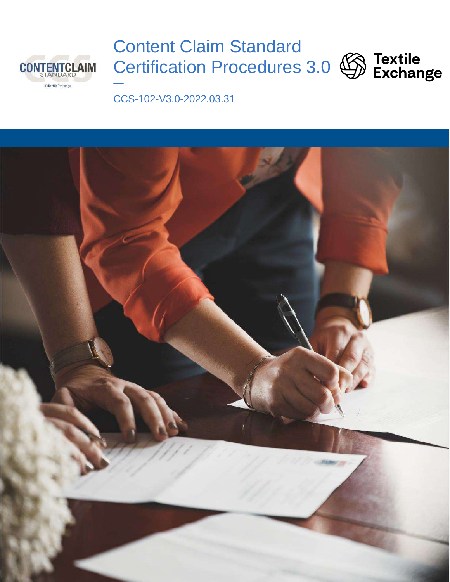

# Content Claim Standard Certification Procedures 3.0 **—**

CCS-102-V3.0-2022.03.31

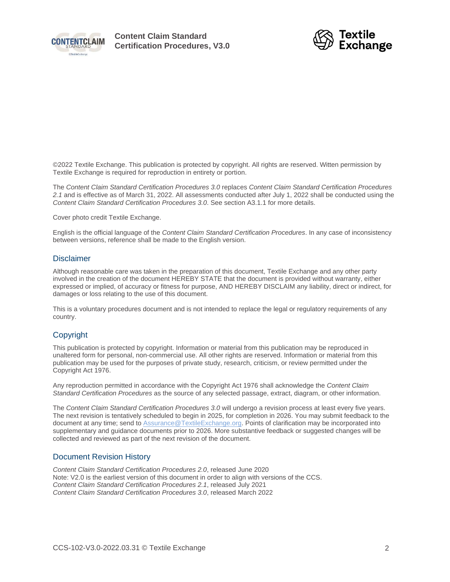



©2022 Textile Exchange. This publication is protected by copyright. All rights are reserved. Witten permission by Textile Exchange is required for reproduction in entirety or portion.

The *Content Claim Standard Certification Procedures 3.0* replaces *Content Claim Standard Certification Procedures 2.1* and is effective as of March 31, 2022. All assessments conducted after July 1, 2022 shall be conducted using the *Content Claim Standard Certification Procedures 3.0*. See section [A3.1.1](#page-5-0) for more details.

Cover photo credit Textile Exchange.

English is the official language of the *Content Claim Standard Certification Procedures*. In any case of inconsistency between versions, reference shall be made to the English version.

#### Disclaimer

Although reasonable care was taken in the preparation of this document, Textile Exchange and any other party involved in the creation of the document HEREBY STATE that the document is provided without warranty, either expressed or implied, of accuracy or fitness for purpose, AND HEREBY DISCLAIM any liability, direct or indirect, for damages or loss relating to the use of this document.

This is a voluntary procedures document and is not intended to replace the legal or regulatory requirements of any country.

#### Copyright

This publication is protected by copyright. Information or material from this publication may be reproduced in unaltered form for personal, non-commercial use. All other rights are reserved. Information or material from this publication may be used for the purposes of private study, research, criticism, or review permitted under the Copyright Act 1976.

Any reproduction permitted in accordance with the Copyright Act 1976 shall acknowledge the *Content Claim Standard Certification Procedures* as the source of any selected passage, extract, diagram, or other information.

The *Content Claim Standard Certification Procedures 3.0* will undergo a revision process at least every five years. The next revision is tentatively scheduled to begin in 2025, for completion in 2026. You may submit feedback to the document at any time; send to [Assurance@TextileExchange.org.](mailto:Assurance@TextileExchange.org) Points of clarification may be incorporated into supplementary and guidance documents prior to 2026. More substantive feedback or suggested changes will be collected and reviewed as part of the next revision of the document.

#### Document Revision History

*Content Claim Standard Certification Procedures 2.0*, released June 2020 Note: V2.0 is the earliest version of this document in order to align with versions of the CCS. *Content Claim Standard Certification Procedures 2.1*, released July 2021 *Content Claim Standard Certification Procedures 3.0*, released March 2022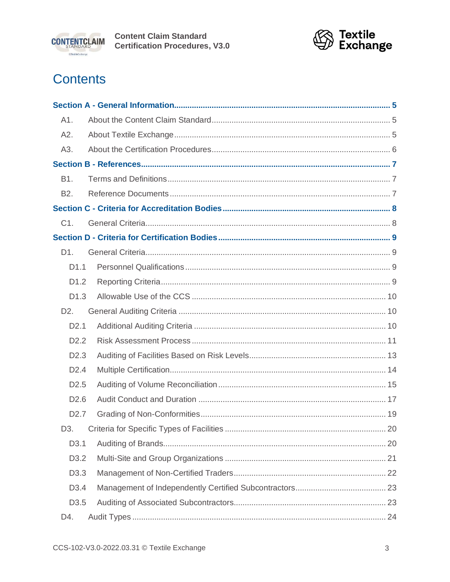



# **Contents**

| A1.              |  |
|------------------|--|
| A2.              |  |
| A3.              |  |
|                  |  |
| B1.              |  |
| B <sub>2</sub> . |  |
|                  |  |
| $C1$ .           |  |
|                  |  |
| D1.              |  |
| D1.1             |  |
| D <sub>1.2</sub> |  |
| D <sub>1.3</sub> |  |
| D <sub>2</sub> . |  |
| D2.1             |  |
| D <sub>2.2</sub> |  |
| D <sub>2.3</sub> |  |
| D2.4             |  |
| D <sub>2.5</sub> |  |
| D <sub>2.6</sub> |  |
| D <sub>2.7</sub> |  |
|                  |  |
| D <sub>3.1</sub> |  |
| D <sub>3.2</sub> |  |
| D <sub>3.3</sub> |  |
| D <sub>3.4</sub> |  |
| D <sub>3.5</sub> |  |
| D4.              |  |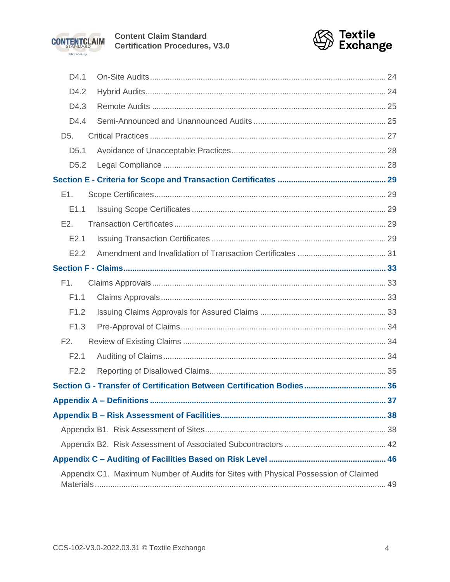



| D4.1             |                                                                                     |  |
|------------------|-------------------------------------------------------------------------------------|--|
| D4.2             |                                                                                     |  |
| D4.3             |                                                                                     |  |
| D <sub>4.4</sub> |                                                                                     |  |
| D <sub>5</sub> . |                                                                                     |  |
| D <sub>5.1</sub> |                                                                                     |  |
| D <sub>5.2</sub> |                                                                                     |  |
|                  |                                                                                     |  |
| E1.              |                                                                                     |  |
| E1.1             |                                                                                     |  |
| E2.              |                                                                                     |  |
| E2.1             |                                                                                     |  |
| E2.2             |                                                                                     |  |
|                  |                                                                                     |  |
| F1.              |                                                                                     |  |
| F1.1             |                                                                                     |  |
| F1.2             |                                                                                     |  |
| F <sub>1.3</sub> |                                                                                     |  |
| F2.              |                                                                                     |  |
| F2.1             |                                                                                     |  |
| F2.2             |                                                                                     |  |
|                  | Section G - Transfer of Certification Between Certification Bodies 36               |  |
|                  |                                                                                     |  |
|                  |                                                                                     |  |
|                  |                                                                                     |  |
|                  |                                                                                     |  |
|                  |                                                                                     |  |
|                  | Appendix C1. Maximum Number of Audits for Sites with Physical Possession of Claimed |  |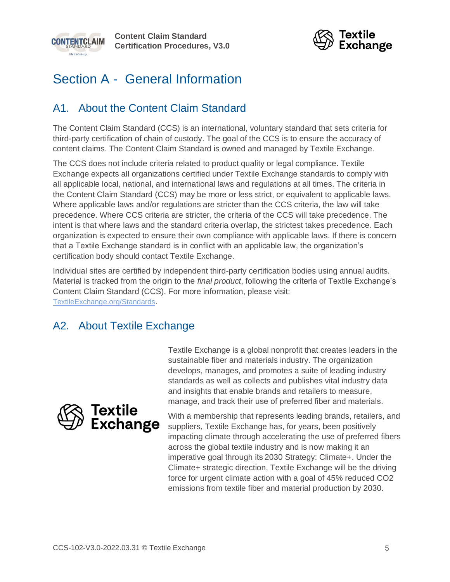

**Content Claim Standard Certification Procedures, V3.0**



## <span id="page-4-0"></span>Section A - General Information

### <span id="page-4-1"></span>A1. About the Content Claim Standard

The Content Claim Standard (CCS) is an international, voluntary standard that sets criteria for third-party certification of chain of custody. The goal of the CCS is to ensure the accuracy of content claims. The Content Claim Standard is owned and managed by Textile Exchange.

The CCS does not include criteria related to product quality or legal compliance. Textile Exchange expects all organizations certified under Textile Exchange standards to comply with all applicable local, national, and international laws and regulations at all times. The criteria in the Content Claim Standard (CCS) may be more or less strict, or equivalent to applicable laws. Where applicable laws and/or regulations are stricter than the CCS criteria, the law will take precedence. Where CCS criteria are stricter, the criteria of the CCS will take precedence. The intent is that where laws and the standard criteria overlap, the strictest takes precedence. Each organization is expected to ensure their own compliance with applicable laws. If there is concern that a Textile Exchange standard is in conflict with an applicable law, the organization's certification body should contact Textile Exchange.

Individual sites are certified by independent third-party certification bodies using annual audits. Material is tracked from the origin to the *final product*, following the criteria of Textile Exchange's Content Claim Standard (CCS). For more information, please visit: [TextileExchange.org/Standards](https://textileexchange.org/Standards/).

## <span id="page-4-2"></span>A2. About Textile Exchange

Textile Exchange is a global nonprofit that creates leaders in the sustainable fiber and materials industry. The organization develops, manages, and promotes a suite of leading industry standards as well as collects and publishes vital industry data and insights that enable brands and retailers to measure, manage, and track their use of preferred fiber and materials. 

With a membership that represents leading brands, retailers, and suppliers, Textile Exchange has, for years, been positively impacting climate through accelerating the use of preferred fibers across the global textile industry and is now making it an imperative goal through its [2030 Strategy: Climate+.](https://textileexchange.org/2030-strategy-climate-plus/) Under the Climate+ strategic direction, Textile Exchange will be the driving force for urgent climate action with a goal of 45% reduced CO2 emissions from textile fiber and material production by 2030.

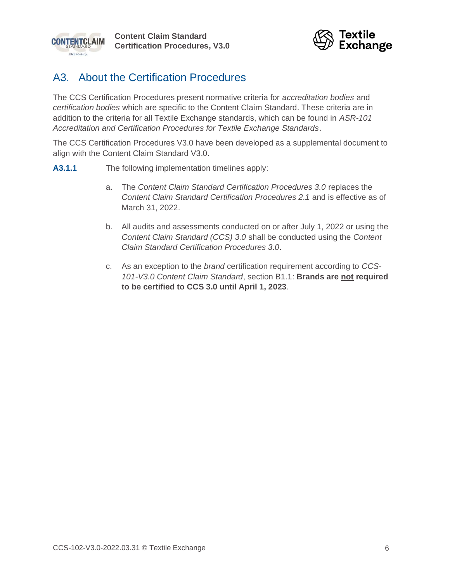

**Content Claim Standard Certification Procedures, V3.0**



### <span id="page-5-1"></span>A3. About the Certification Procedures

The CCS Certification Procedures present normative criteria for *accreditation bodies* and *certification bodies* which are specific to the Content Claim Standard. These criteria are in addition to the criteria for all Textile Exchange standards, which can be found in *ASR-101 Accreditation and Certification Procedures for Textile Exchange Standards*.

The CCS Certification Procedures V3.0 have been developed as a supplemental document to align with the Content Claim Standard V3.0.

<span id="page-5-0"></span>**A3.1.1** The following implementation timelines apply:

- a. The *Content Claim Standard Certification Procedures 3.0* replaces the *Content Claim Standard Certification Procedures 2.1* and is effective as of March 31, 2022.
- b. All audits and assessments conducted on or after July 1, 2022 or using the *Content Claim Standard (CCS) 3.0* shall be conducted using the *Content Claim Standard Certification Procedures 3.0*.
- c. As an exception to the *brand* certification requirement according to *CCS-101-V3.0 Content Claim Standard*, section B1.1: **Brands are not required to be certified to CCS 3.0 until April 1, 2023**.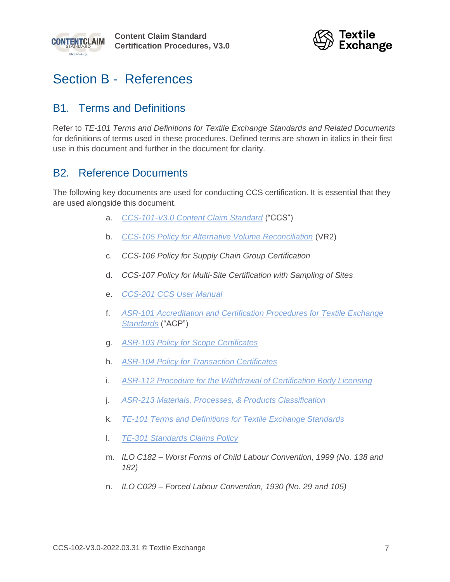



## <span id="page-6-0"></span>Section B - References

### <span id="page-6-1"></span>B1. Terms and Definitions

Refer to *TE-101 Terms and Definitions for Textile Exchange Standards and Related Documents* for definitions of terms used in these procedures. Defined terms are shown in italics in their first use in this document and further in the document for clarity.

### <span id="page-6-2"></span>B2. Reference Documents

The following key documents are used for conducting CCS certification. It is essential that they are used alongside this document.

- a. *[CCS-101-V3.0 Content Claim Standard](https://textileexchange.org/documents/content-claim-standard-ccs/)* ("CCS")
- b. *[CCS-105 Policy for Alternative Volume Reconciliation](https://textileexchange.org/documents/policy-for-alternative-volume-reconciliation-vr2/)* (VR2)
- c. *CCS-106 Policy for Supply Chain Group Certification*
- d. *CCS-107 Policy for Multi-Site Certification with Sampling of Sites*
- e. *[CCS-201 CCS User Manual](https://textileexchange.org/documents/ccs-user-manual/)*
- f. *[ASR-101 Accreditation and Certification Procedures for Textile Exchange](https://textileexchange.org/documents/accreditation-and-certification-procedures/)  [Standards](https://textileexchange.org/documents/accreditation-and-certification-procedures/)* ("ACP")
- g. *[ASR-103 Policy for Scope Certificates](https://textileexchange.org/documents/policy-for-scope-certificates/)*
- h. *[ASR-104 Policy for Transaction Certificates](https://textileexchange.org/documents/policy-for-transaction-certificates/)*
- i. *[ASR-112 Procedure for the Withdrawal of Certification Body Licensing](https://textileexchange.org/documents/procedure-for-the-withdrawal-of-certification-body-licensing/)*
- j. *[ASR-213 Materials, Processes, & Products Classification](https://textileexchange.org/documents/materials-processes-products-classification/)*
- k. *[TE-101 Terms and Definitions for Textile Exchange Standards](https://textileexchange.org/documents/terms-and-definitions-for-textile-exchange-standards-and-related-documents/)*
- l. *[TE-301 Standards Claims Policy](https://textileexchange.org/documents/standards-claims-policy/)*
- m. *ILO C182 – Worst Forms of Child Labour Convention, 1999 (No. 138 and 182)*
- n. *ILO C029 – Forced Labour Convention, 1930 (No. 29 and 105)*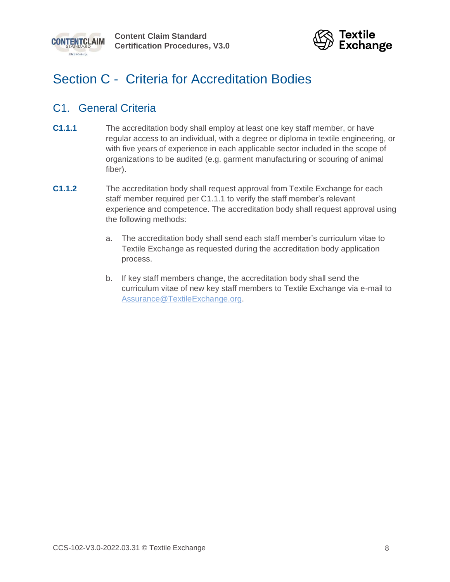



## <span id="page-7-0"></span>Section C - Criteria for Accreditation Bodies

### <span id="page-7-1"></span>C1. General Criteria

- <span id="page-7-2"></span>**C1.1.1** The accreditation body shall employ at least one key staff member, or have regular access to an individual, with a degree or diploma in textile engineering, or with five years of experience in each applicable sector included in the scope of organizations to be audited (e.g. garment manufacturing or scouring of animal fiber).
- **C1.1.2** The accreditation body shall request approval from Textile Exchange for each staff member required per [C1.1.1](#page-7-2) to verify the staff member's relevant experience and competence. The accreditation body shall request approval using the following methods:
	- a. The accreditation body shall send each staff member's curriculum vitae to Textile Exchange as requested during the accreditation body application process.
	- b. If key staff members change, the accreditation body shall send the curriculum vitae of new key staff members to Textile Exchange via e-mail to [Assurance@TextileExchange.org.](mailto:assurance@textileexchange.org)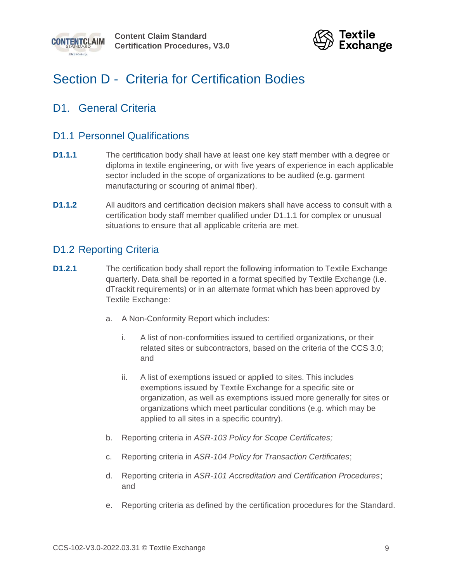



## <span id="page-8-0"></span>Section D - Criteria for Certification Bodies

### <span id="page-8-1"></span>D1. General Criteria

### <span id="page-8-2"></span>D1.1 Personnel Qualifications

- <span id="page-8-4"></span>**D1.1.1** The certification body shall have at least one key staff member with a degree or diploma in textile engineering, or with five years of experience in each applicable sector included in the scope of organizations to be audited (e.g. garment manufacturing or scouring of animal fiber).
- **D1.1.2** All auditors and certification decision makers shall have access to consult with a certification body staff member qualified under [D1.1.1](#page-8-4) for complex or unusual situations to ensure that all applicable criteria are met.

### <span id="page-8-3"></span>D1.2 Reporting Criteria

- **D1.2.1** The certification body shall report the following information to Textile Exchange quarterly. Data shall be reported in a format specified by Textile Exchange (i.e. dTrackit requirements) or in an alternate format which has been approved by Textile Exchange:
	- a. A Non-Conformity Report which includes:
		- i. A list of non-conformities issued to certified organizations, or their related sites or subcontractors, based on the criteria of the CCS 3.0; and
		- ii. A list of exemptions issued or applied to sites. This includes exemptions issued by Textile Exchange for a specific site or organization, as well as exemptions issued more generally for sites or organizations which meet particular conditions (e.g. which may be applied to all sites in a specific country).
	- b. Reporting criteria in *ASR-103 Policy for Scope Certificates;*
	- c. Reporting criteria in *ASR-104 Policy for Transaction Certificates*;
	- d. Reporting criteria in *ASR-101 Accreditation and Certification Procedures*; and
	- e. Reporting criteria as defined by the certification procedures for the Standard.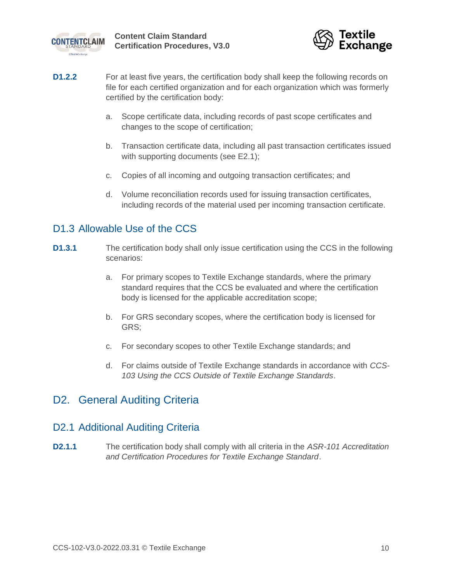



- **D1.2.2** For at least five years, the certification body shall keep the following records on file for each certified organization and for each organization which was formerly certified by the certification body:
	- a. Scope certificate data, including records of past scope certificates and changes to the scope of certification;
	- b. Transaction certificate data, including all past transaction certificates issued with supporting documents (see [E2.1\)](#page-28-4);
	- c. Copies of all incoming and outgoing transaction certificates; and
	- d. Volume reconciliation records used for issuing transaction certificates, including records of the material used per incoming transaction certificate.

### <span id="page-9-0"></span>D<sub>1.3</sub> Allowable Use of the CCS

- **D1.3.1** The certification body shall only issue certification using the CCS in the following scenarios:
	- a. For primary scopes to Textile Exchange standards, where the primary standard requires that the CCS be evaluated and where the certification body is licensed for the applicable accreditation scope;
	- b. For GRS secondary scopes, where the certification body is licensed for GRS;
	- c. For secondary scopes to other Textile Exchange standards; and
	- d. For claims outside of Textile Exchange standards in accordance with *CCS-103 Using the CCS Outside of Textile Exchange Standards*.

### <span id="page-9-1"></span>D2. General Auditing Criteria

#### <span id="page-9-2"></span>D2.1 Additional Auditing Criteria

**D2.1.1** The certification body shall comply with all criteria in the *ASR-101 Accreditation and Certification Procedures for Textile Exchange Standard*.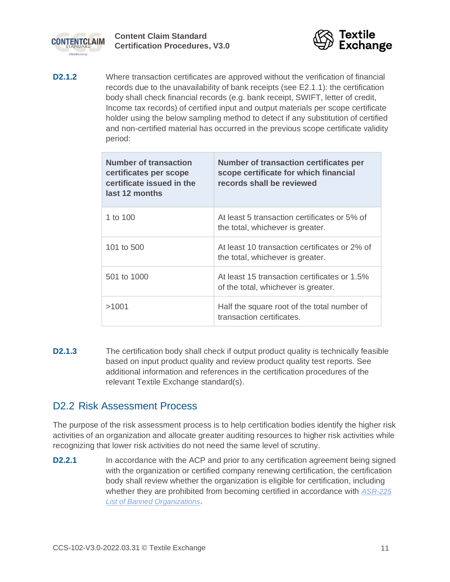



<span id="page-10-1"></span>**D2.1.2** Where transaction certificates are approved without the verification of financial records due to the unavailability of bank receipts (see [E2.1.1\)](#page-28-5): the certification body shall check financial records (e.g. bank receipt, SWIFT, letter of credit, Income tax records) of certified input and output materials per scope certificate holder using the below sampling method to detect if any substitution of certified and non-certified material has occurred in the previous scope certificate validity period:

| <b>Number of transaction</b><br>certificates per scope<br>certificate issued in the<br>last 12 months | <b>Number of transaction certificates per</b><br>scope certificate for which financial<br>records shall be reviewed |
|-------------------------------------------------------------------------------------------------------|---------------------------------------------------------------------------------------------------------------------|
| 1 to $100$                                                                                            | At least 5 transaction certificates or 5% of<br>the total, whichever is greater.                                    |
| 101 to 500                                                                                            | At least 10 transaction certificates or 2% of<br>the total, whichever is greater.                                   |
| 501 to 1000                                                                                           | At least 15 transaction certificates or 1.5%<br>of the total, whichever is greater.                                 |
| >1001                                                                                                 | Half the square root of the total number of<br>transaction certificates.                                            |

**D2.1.3** The certification body shall check if output product quality is technically feasible based on input product quality and review product quality test reports. See additional information and references in the certification procedures of the relevant Textile Exchange standard(s).

### <span id="page-10-0"></span>D2.2 Risk Assessment Process

The purpose of the risk assessment process is to help certification bodies identify the higher risk activities of an organization and allocate greater auditing resources to higher risk activities while recognizing that lower risk activities do not need the same level of scrutiny.

**D2.2.1** In accordance with the ACP and prior to any certification agreement being signed with the organization or certified company renewing certification, the certification body shall review whether the organization is eligible for certification, including whether they are prohibited from becoming certified in accordance with *[ASR-225](https://textileexchange.org/documents/list-of-banned-organizations/)  [List of Banned Organizations](https://textileexchange.org/documents/list-of-banned-organizations/)*.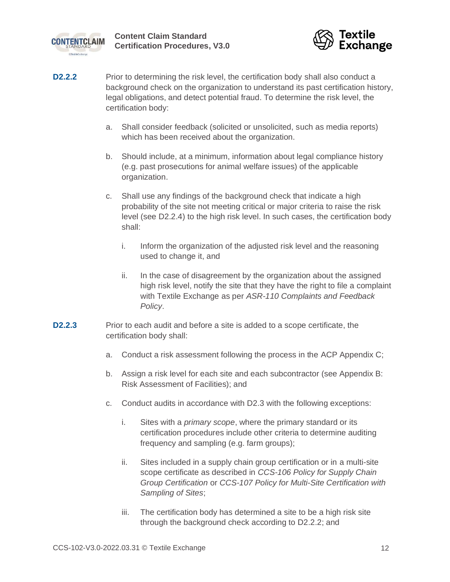



- <span id="page-11-2"></span><span id="page-11-0"></span>**D2.2.2** Prior to determining the risk level, the certification body shall also conduct a background check on the organization to understand its past certification history, legal obligations, and detect potential fraud. To determine the risk level, the certification body:
	- a. Shall consider feedback (solicited or unsolicited, such as media reports) which has been received about the organization.
	- b. Should include, at a minimum, information about legal compliance history (e.g. past prosecutions for animal welfare issues) of the applicable organization.
	- c. Shall use any findings of the background check that indicate a high probability of the site not meeting critical or major criteria to raise the risk level (see [D2.2.4\)](#page-12-1) to the high risk level. In such cases, the certification body shall:
		- i. Inform the organization of the adjusted risk level and the reasoning used to change it, and
		- ii. In the case of disagreement by the organization about the assigned high risk level, notify the site that they have the right to file a complaint with Textile Exchange as per *ASR-110 Complaints and Feedback Policy*.
- <span id="page-11-1"></span>**D2.2.3** Prior to each audit and before a site is added to a scope certificate, the certification body shall:
	- a. Conduct a risk assessment following the process in the ACP Appendix C;
	- b. Assign a risk level for each site and each subcontractor (see Appendix B: Risk Assessment of Facilities); and
	- c. Conduct audits in accordance with [D2.3](#page-12-0) with the following exceptions:
		- i. Sites with a *primary scope*, where the primary standard or its certification procedures include other criteria to determine auditing frequency and sampling (e.g. farm groups);
		- ii. Sites included in a supply chain group certification or in a multi-site scope certificate as described in *CCS-106 Policy for Supply Chain Group Certification* or *CCS-107 Policy for Multi-Site Certification with Sampling of Sites*;
		- iii. The certification body has determined a site to be a high risk site through the background check according to [D2.2.2;](#page-11-0) and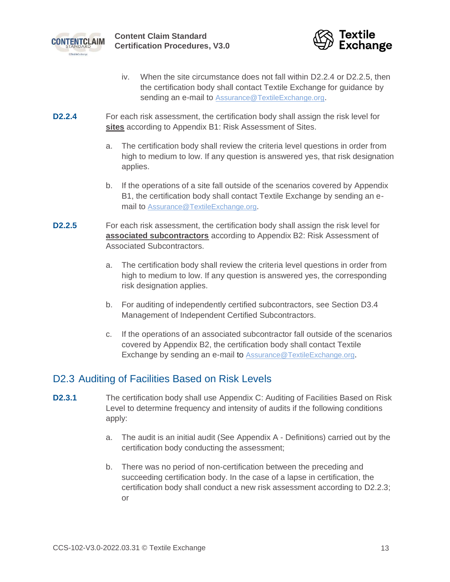



- iv. When the site circumstance does not fall within [D2.2.4](#page-12-1) or [D2.2.5,](#page-12-2) then the certification body shall contact Textile Exchange for guidance by sending an e-mail to [Assurance@TextileExchange.org](mailto:Assurance@TextileExchange.org).
- <span id="page-12-1"></span>**D2.2.4** For each risk assessment, the certification body shall assign the risk level for **sites** according to Appendix B1: Risk Assessment of Sites.
	- a. The certification body shall review the criteria level questions in order from high to medium to low. If any question is answered yes, that risk designation applies.
	- b. If the operations of a site fall outside of the scenarios covered by Appendix B1, the certification body shall contact Textile Exchange by sending an email to [Assurance@TextileExchange.org](mailto:Assurance@TextileExchange.org).
- <span id="page-12-3"></span><span id="page-12-2"></span>**D2.2.5** For each risk assessment, the certification body shall assign the risk level for **associated subcontractors** according to Appendix B2: Risk Assessment of Associated Subcontractors.
	- a. The certification body shall review the criteria level questions in order from high to medium to low. If any question is answered yes, the corresponding risk designation applies.
	- b. For auditing of independently certified subcontractors, see Section [D3.4](#page-22-0) Management of Independent Certified Subcontractors.
	- c. If the operations of an associated subcontractor fall outside of the scenarios covered by Appendix B2, the certification body shall contact Textile Exchange by sending an e-mail to **[Assurance@TextileExchange.org](mailto:Assurance@TextileExchange.org)**.

### <span id="page-12-0"></span>D2.3 Auditing of Facilities Based on Risk Levels

- **D2.3.1** The certification body shall use Appendix C: Auditing of Facilities Based on Risk Level to determine frequency and intensity of audits if the following conditions apply:
	- a. The audit is an initial audit (See Appendix A Definitions) carried out by the certification body conducting the assessment;
	- b. There was no period of non-certification between the preceding and succeeding certification body. In the case of a lapse in certification, the certification body shall conduct a new risk assessment according to [D2.2.3;](#page-11-1) or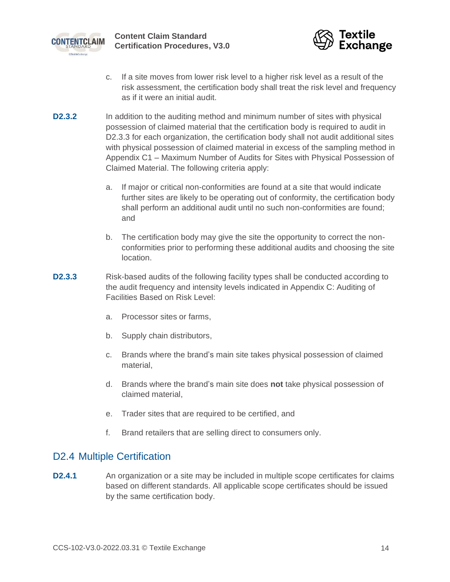<span id="page-13-2"></span>



- c. If a site moves from lower risk level to a higher risk level as a result of the risk assessment, the certification body shall treat the risk level and frequency as if it were an initial audit.
- **D2.3.2** In addition to the auditing method and minimum number of sites with physical possession of claimed material that the certification body is required to audit in [D2.3.3](#page-13-1) for each organization, the certification body shall not audit additional sites with physical possession of claimed material in excess of the sampling method in Appendix C1 – Maximum Number of Audits for Sites with Physical Possession of Claimed Material. The following criteria apply:
	- a. If major or critical non-conformities are found at a site that would indicate further sites are likely to be operating out of conformity, the certification body shall perform an additional audit until no such non-conformities are found; and
	- b. The certification body may give the site the opportunity to correct the nonconformities prior to performing these additional audits and choosing the site location.
- <span id="page-13-1"></span>**D2.3.3** Risk-based audits of the following facility types shall be conducted according to the audit frequency and intensity levels indicated in Appendix C: Auditing of Facilities Based on Risk Level:
	- a. Processor sites or farms,
	- b. Supply chain distributors,
	- c. Brands where the brand's main site takes physical possession of claimed material,
	- d. Brands where the brand's main site does **not** take physical possession of claimed material,
	- e. Trader sites that are required to be certified, and
	- f. Brand retailers that are selling direct to consumers only.

#### <span id="page-13-0"></span>D2.4 Multiple Certification

**D2.4.1** An organization or a site may be included in multiple scope certificates for claims based on different standards. All applicable scope certificates should be issued by the same certification body.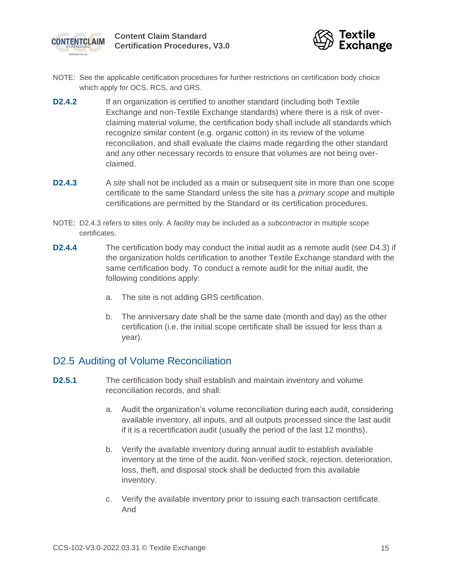

<span id="page-14-1"></span>

- NOTE: See the applicable certification procedures for further restrictions on certification body choice which apply for OCS, RCS, and GRS.
- **D2.4.2** If an organization is certified to another standard (including both Textile Exchange and non-Textile Exchange standards) where there is a risk of overclaiming material volume, the certification body shall include all standards which recognize similar content (e.g. organic cotton) in its review of the volume reconciliation, and shall evaluate the claims made regarding the other standard and any other necessary records to ensure that volumes are not being overclaimed.
- **D2.4.3** A *site* shall not be included as a main or subsequent site in more than one scope certificate to the same Standard unless the site has a *primary scope* and multiple certifications are permitted by the Standard or its certification procedures.
- NOTE: [D2.4.3](#page-14-1) refers to sites only. A *facility* may be included as a *subcontractor* in multiple scope certificates.
- **D2.4.4** The certification body may conduct the initial audit as a remote audit (see [D4.3\)](#page-24-0) if the organization holds certification to another Textile Exchange standard with the same certification body. To conduct a remote audit for the initial audit, the following conditions apply:
	- a. The site is not adding GRS certification.
	- b. The anniversary date shall be the same date (month and day) as the other certification (i.e. the initial scope certificate shall be issued for less than a year).

### <span id="page-14-0"></span>D2.5 Auditing of Volume Reconciliation

- **D2.5.1** The certification body shall establish and maintain inventory and volume reconciliation records, and shall:
	- a. Audit the organization's volume reconciliation during each audit, considering available inventory, all inputs, and all outputs processed since the last audit if it is a recertification audit (usually the period of the last 12 months).
	- b. Verify the available inventory during annual audit to establish available inventory at the time of the audit. Non-verified stock, rejection, deterioration, loss, theft, and disposal stock shall be deducted from this available inventory.
	- c. Verify the available inventory prior to issuing each transaction certificate. And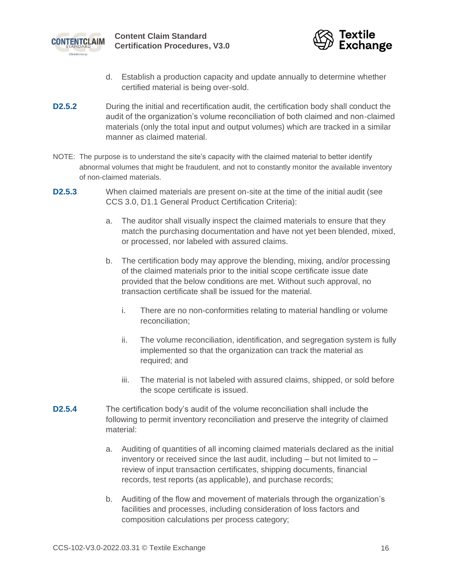



- d. Establish a production capacity and update annually to determine whether certified material is being over-sold.
- **D2.5.2** During the initial and recertification audit, the certification body shall conduct the audit of the organization's volume reconciliation of both claimed and non-claimed materials (only the total input and output volumes) which are tracked in a similar manner as claimed material.
- NOTE: The purpose is to understand the site's capacity with the claimed material to better identify abnormal volumes that might be fraudulent, and not to constantly monitor the available inventory of non-claimed materials.
- **D2.5.3** When claimed materials are present on-site at the time of the initial audit (see CCS 3.0, D1.1 General Product Certification Criteria):
	- a. The auditor shall visually inspect the claimed materials to ensure that they match the purchasing documentation and have not yet been blended, mixed, or processed, nor labeled with assured claims.
	- b. The certification body may approve the blending, mixing, and/or processing of the claimed materials prior to the initial scope certificate issue date provided that the below conditions are met. Without such approval, no transaction certificate shall be issued for the material.
		- i. There are no non-conformities relating to material handling or volume reconciliation;
		- ii. The volume reconciliation, identification, and segregation system is fully implemented so that the organization can track the material as required; and
		- iii. The material is not labeled with assured claims, shipped, or sold before the scope certificate is issued.
- **D2.5.4** The certification body's audit of the volume reconciliation shall include the following to permit inventory reconciliation and preserve the integrity of claimed material:
	- a. Auditing of quantities of all incoming claimed materials declared as the initial inventory or received since the last audit, including  $-$  but not limited to  $$ review of input transaction certificates, shipping documents, financial records, test reports (as applicable), and purchase records;
	- b. Auditing of the flow and movement of materials through the organization's facilities and processes, including consideration of loss factors and composition calculations per process category;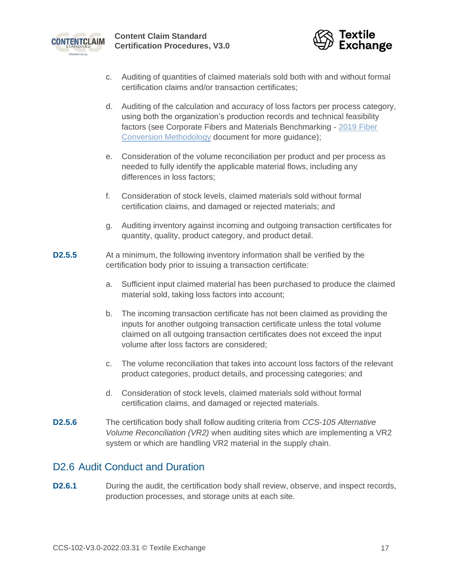



- c. Auditing of quantities of claimed materials sold both with and without formal certification claims and/or transaction certificates;
- d. Auditing of the calculation and accuracy of loss factors per process category, using both the organization's production records and technical feasibility factors (see Corporate Fibers and Materials Benchmarking - [2019 Fiber](https://textileexchange.org/wp-content/uploads/2019/09/CFMB_2019_Fiber-Conversion-Methodology.pdf)  [Conversion Methodology](https://textileexchange.org/wp-content/uploads/2019/09/CFMB_2019_Fiber-Conversion-Methodology.pdf) document for more guidance);
- e. Consideration of the volume reconciliation per product and per process as needed to fully identify the applicable material flows, including any differences in loss factors;
- f. Consideration of stock levels, claimed materials sold without formal certification claims, and damaged or rejected materials; and
- g. Auditing inventory against incoming and outgoing transaction certificates for quantity, quality, product category, and product detail.
- **D2.5.5** At a minimum, the following inventory information shall be verified by the certification body prior to issuing a transaction certificate:
	- a. Sufficient input claimed material has been purchased to produce the claimed material sold, taking loss factors into account;
	- b. The incoming transaction certificate has not been claimed as providing the inputs for another outgoing transaction certificate unless the total volume claimed on all outgoing transaction certificates does not exceed the input volume after loss factors are considered;
	- c. The volume reconciliation that takes into account loss factors of the relevant product categories, product details, and processing categories; and
	- d. Consideration of stock levels, claimed materials sold without formal certification claims, and damaged or rejected materials.
- **D2.5.6** The certification body shall follow auditing criteria from *CCS-105 Alternative Volume Reconciliation (VR2)* when auditing sites which are implementing a VR2 system or which are handling VR2 material in the supply chain.

#### <span id="page-16-0"></span>D2.6 Audit Conduct and Duration

**D2.6.1** During the audit, the certification body shall review, observe, and inspect records, production processes, and storage units at each site.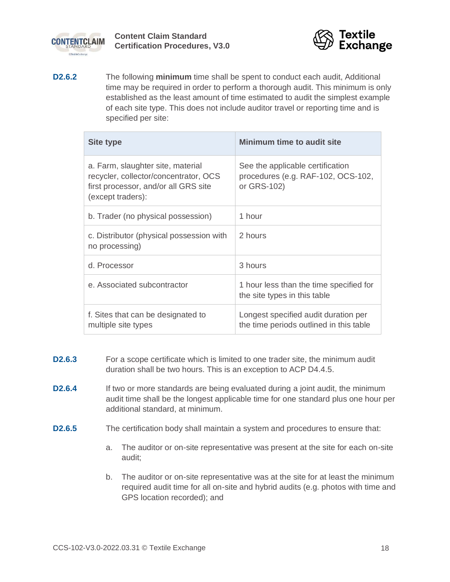



<span id="page-17-0"></span>**D2.6.2** The following **minimum** time shall be spent to conduct each audit, Additional time may be required in order to perform a thorough audit. This minimum is only established as the least amount of time estimated to audit the simplest example of each site type. This does not include auditor travel or reporting time and is specified per site:

| <b>Site type</b>                                                                                                                        | Minimum time to audit site                                                            |
|-----------------------------------------------------------------------------------------------------------------------------------------|---------------------------------------------------------------------------------------|
| a. Farm, slaughter site, material<br>recycler, collector/concentrator, OCS<br>first processor, and/or all GRS site<br>(except traders): | See the applicable certification<br>procedures (e.g. RAF-102, OCS-102,<br>or GRS-102) |
| b. Trader (no physical possession)                                                                                                      | 1 hour                                                                                |
| c. Distributor (physical possession with<br>no processing)                                                                              | 2 hours                                                                               |
| d. Processor                                                                                                                            | 3 hours                                                                               |
| e. Associated subcontractor                                                                                                             | 1 hour less than the time specified for<br>the site types in this table               |
| f. Sites that can be designated to<br>multiple site types                                                                               | Longest specified audit duration per<br>the time periods outlined in this table       |

- **D2.6.3** For a scope certificate which is limited to one trader site, the minimum audit duration shall be two hours. This is an exception to ACP D4.4.5.
- **D2.6.4** If two or more standards are being evaluated during a joint audit, the minimum audit time shall be the longest applicable time for one standard plus one hour per additional standard, at minimum.
- **D2.6.5** The certification body shall maintain a system and procedures to ensure that:
	- a. The auditor or on-site representative was present at the site for each on-site audit;
	- b. The auditor or on-site representative was at the site for at least the minimum required audit time for all on-site and hybrid audits (e.g. photos with time and GPS location recorded); and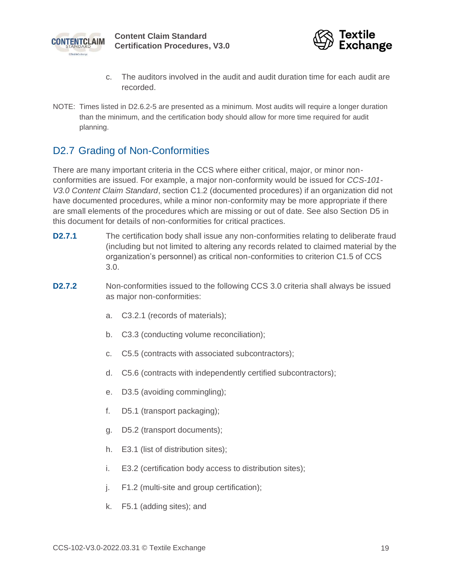



- c. The auditors involved in the audit and audit duration time for each audit are recorded.
- NOTE: Times listed in [D2.6.2-](#page-17-0)5 are presented as a minimum. Most audits will require a longer duration than the minimum, and the certification body should allow for more time required for audit planning.

### <span id="page-18-0"></span>D2.7 Grading of Non-Conformities

There are many important criteria in the CCS where either critical, major, or minor nonconformities are issued. For example, a major non-conformity would be issued for *CCS-101- V3.0 Content Claim Standard*, section C1.2 (documented procedures) if an organization did not have documented procedures, while a minor non-conformity may be more appropriate if there are small elements of the procedures which are missing or out of date. See also Section [D5](#page-26-0) in this document for details of non-conformities for critical practices.

- **D2.7.1** The certification body shall issue any non-conformities relating to deliberate fraud (including but not limited to altering any records related to claimed material by the organization's personnel) as critical non-conformities to criterion C1.5 of CCS 3.0.
- **D2.7.2** Non-conformities issued to the following CCS 3.0 criteria shall always be issued as major non-conformities:
	- a. C3.2.1 (records of materials);
	- b. C3.3 (conducting volume reconciliation);
	- c. C5.5 (contracts with associated subcontractors);
	- d. C5.6 (contracts with independently certified subcontractors);
	- e. D3.5 (avoiding commingling);
	- f. D5.1 (transport packaging);
	- g. D5.2 (transport documents);
	- h. E3.1 (list of distribution sites);
	- i. E3.2 (certification body access to distribution sites);
	- j. F1.2 (multi-site and group certification);
	- k. F5.1 (adding sites); and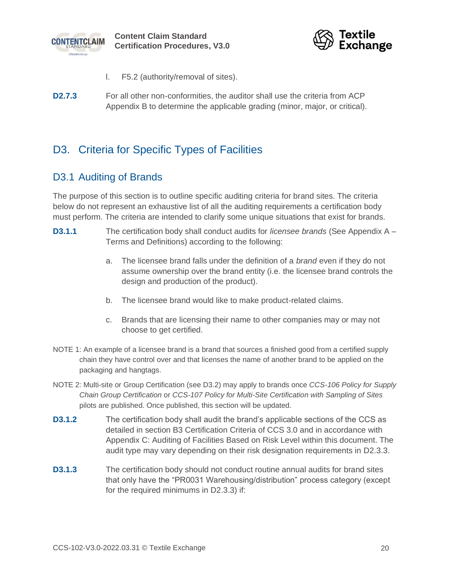

**Content Claim Standard Certification Procedures, V3.0**



- l. F5.2 (authority/removal of sites).
- **D2.7.3** For all other non-conformities, the auditor shall use the criteria from ACP Appendix B to determine the applicable grading (minor, major, or critical).

### <span id="page-19-0"></span>D3. Criteria for Specific Types of Facilities

### <span id="page-19-1"></span>D3.1 Auditing of Brands

The purpose of this section is to outline specific auditing criteria for brand sites. The criteria below do not represent an exhaustive list of all the auditing requirements a certification body must perform. The criteria are intended to clarify some unique situations that exist for brands.

- **D3.1.1** The certification body shall conduct audits for *licensee brands* (See Appendix A Terms and Definitions) according to the following:
	- a. The licensee brand falls under the definition of a *brand* even if they do not assume ownership over the brand entity (i.e. the licensee brand controls the design and production of the product).
	- b. The licensee brand would like to make product-related claims.
	- c. Brands that are licensing their name to other companies may or may not choose to get certified.
- NOTE 1: An example of a licensee brand is a brand that sources a finished good from a certified supply chain they have control over and that licenses the name of another brand to be applied on the packaging and hangtags.
- NOTE 2: Multi-site or Group Certification (see [D3.2\)](#page-20-0) may apply to brands once *CCS-106 Policy for Supply Chain Group Certification* or *CCS-107 Policy for Multi-Site Certification with Sampling of Sites* pilots are published. Once published, this section will be updated.
- **D3.1.2** The certification body shall audit the brand's applicable sections of the CCS as detailed in section B3 Certification Criteria of CCS 3.0 and in accordance with Appendix C: Auditing of Facilities Based on Risk Level within this document. The audit type may vary depending on their risk designation requirements in [D2.3.3.](#page-13-1)
- <span id="page-19-2"></span>**D3.1.3** The certification body should not conduct routine annual audits for brand sites that only have the "PR0031 Warehousing/distribution" process category (except for the required minimums in [D2.3.3\)](#page-13-1) if: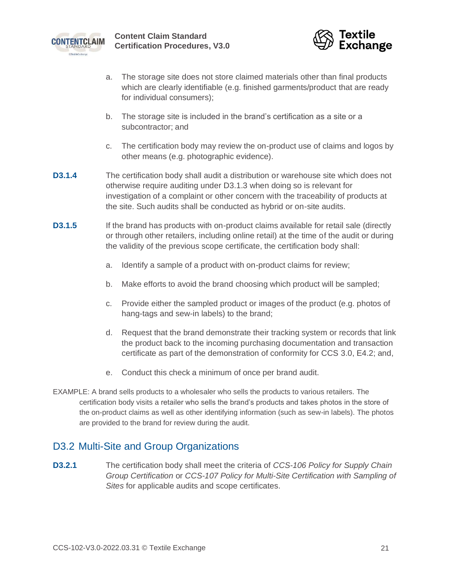



- a. The storage site does not store claimed materials other than final products which are clearly identifiable (e.g. finished garments/product that are ready for individual consumers);
- b. The storage site is included in the brand's certification as a site or a subcontractor; and
- c. The certification body may review the on-product use of claims and logos by other means (e.g. photographic evidence).
- **D3.1.4** The certification body shall audit a distribution or warehouse site which does not otherwise require auditing under [D3.1.3](#page-19-2) when doing so is relevant for investigation of a complaint or other concern with the traceability of products at the site. Such audits shall be conducted as hybrid or on-site audits.
- **D3.1.5** If the brand has products with on-product claims available for retail sale (directly or through other retailers, including online retail) at the time of the audit or during the validity of the previous scope certificate, the certification body shall:
	- a. Identify a sample of a product with on-product claims for review;
	- b. Make efforts to avoid the brand choosing which product will be sampled;
	- c. Provide either the sampled product or images of the product (e.g. photos of hang-tags and sew-in labels) to the brand;
	- d. Request that the brand demonstrate their tracking system or records that link the product back to the incoming purchasing documentation and transaction certificate as part of the demonstration of conformity for CCS 3.0, E4.2; and,
	- e. Conduct this check a minimum of once per brand audit.
- EXAMPLE: A brand sells products to a wholesaler who sells the products to various retailers. The certification body visits a retailer who sells the brand's products and takes photos in the store of the on-product claims as well as other identifying information (such as sew-in labels). The photos are provided to the brand for review during the audit.

### <span id="page-20-0"></span>D3.2 Multi-Site and Group Organizations

**D3.2.1** The certification body shall meet the criteria of *CCS-106 Policy for Supply Chain Group Certification* or *CCS-107 Policy for Multi-Site Certification with Sampling of Sites* for applicable audits and scope certificates.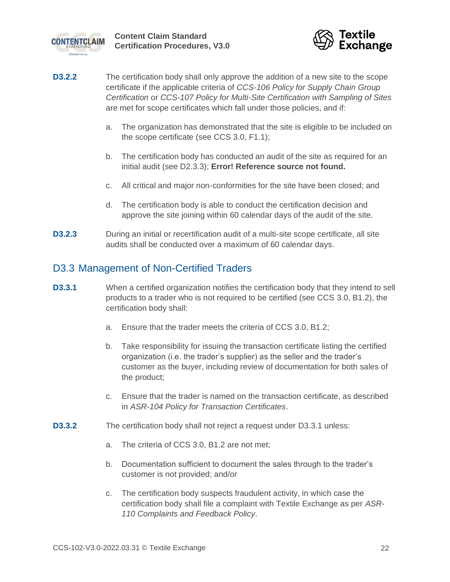



- **D3.2.2** The certification body shall only approve the addition of a new site to the scope certificate if the applicable criteria of *CCS-106 Policy for Supply Chain Group Certification* or *CCS-107 Policy for Multi-Site Certification with Sampling of Sites* are met for scope certificates which fall under those policies, and if:
	- a. The organization has demonstrated that the site is eligible to be included on the scope certificate (see CCS 3.0, F1.1);
	- b. The certification body has conducted an audit of the site as required for an initial audit (see [D2.3.3\)](#page-13-1); **Error! Reference source not found.**
	- c. All critical and major non-conformities for the site have been closed; and
	- d. The certification body is able to conduct the certification decision and approve the site joining within 60 calendar days of the audit of the site.
- **D3.2.3** During an initial or recertification audit of a multi-site scope certificate, all site audits shall be conducted over a maximum of 60 calendar days.

#### <span id="page-21-0"></span>D3.3 Management of Non-Certified Traders

- <span id="page-21-1"></span>**D3.3.1** When a certified organization notifies the certification body that they intend to sell products to a trader who is not required to be certified (see CCS 3.0, B1.2), the certification body shall:
	- a. Ensure that the trader meets the criteria of CCS 3.0, B1.2;
	- b. Take responsibility for issuing the transaction certificate listing the certified organization (i.e. the trader's supplier) as the seller and the trader's customer as the buyer, including review of documentation for both sales of the product;
	- c. Ensure that the trader is named on the transaction certificate, as described in *ASR-104 Policy for Transaction Certificates*.
- **D3.3.2** The certification body shall not reject a request under [D3.3.1](#page-21-1) unless:
	- a. The criteria of CCS 3.0, B1.2 are not met;
	- b. Documentation sufficient to document the sales through to the trader's customer is not provided; and/or
	- c. The certification body suspects fraudulent activity, in which case the certification body shall file a complaint with Textile Exchange as per *ASR-110 Complaints and Feedback Policy*.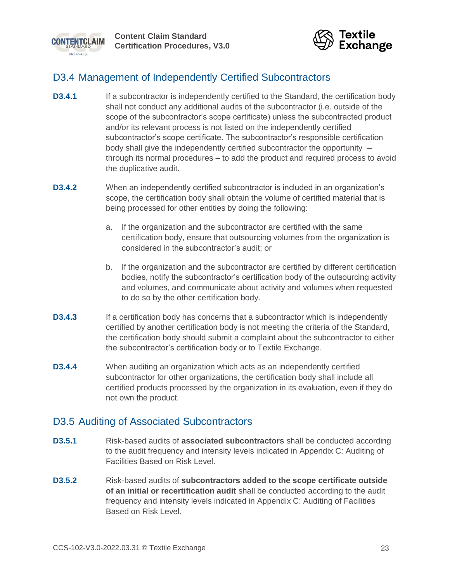



### <span id="page-22-0"></span>D3.4 Management of Independently Certified Subcontractors

- **D3.4.1** If a subcontractor is independently certified to the Standard, the certification body shall not conduct any additional audits of the subcontractor (i.e. outside of the scope of the subcontractor's scope certificate) unless the subcontracted product and/or its relevant process is not listed on the independently certified subcontractor's scope certificate. The subcontractor's responsible certification body shall give the independently certified subcontractor the opportunity – through its normal procedures – to add the product and required process to avoid the duplicative audit.
- **D3.4.2** When an independently certified subcontractor is included in an organization's scope, the certification body shall obtain the volume of certified material that is being processed for other entities by doing the following:
	- a. If the organization and the subcontractor are certified with the same certification body, ensure that outsourcing volumes from the organization is considered in the subcontractor's audit; or
	- b. If the organization and the subcontractor are certified by different certification bodies, notify the subcontractor's certification body of the outsourcing activity and volumes, and communicate about activity and volumes when requested to do so by the other certification body.
- <span id="page-22-2"></span>**D3.4.3** If a certification body has concerns that a subcontractor which is independently certified by another certification body is not meeting the criteria of the Standard, the certification body should submit a complaint about the subcontractor to either the subcontractor's certification body or to Textile Exchange.
- **D3.4.4** When auditing an organization which acts as an independently certified subcontractor for other organizations, the certification body shall include all certified products processed by the organization in its evaluation, even if they do not own the product.

### <span id="page-22-1"></span>D3.5 Auditing of Associated Subcontractors

- **D3.5.1** Risk-based audits of **associated subcontractors** shall be conducted according to the audit frequency and intensity levels indicated in Appendix C: Auditing of Facilities Based on Risk Level.
- **D3.5.2** Risk-based audits of **subcontractors added to the scope certificate outside of an initial or recertification audit** shall be conducted according to the audit frequency and intensity levels indicated in Appendix C: Auditing of Facilities Based on Risk Level.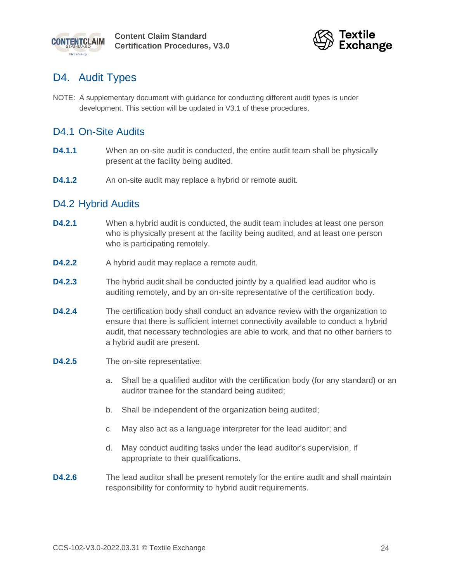



## <span id="page-23-0"></span>D4. Audit Types

NOTE: A supplementary document with guidance for conducting different audit types is under development. This section will be updated in V3.1 of these procedures.

### <span id="page-23-1"></span>D<sub>4</sub>.1 On-Site Audits

- **D4.1.1** When an on-site audit is conducted, the entire audit team shall be physically present at the facility being audited.
- **D4.1.2** An on-site audit may replace a hybrid or remote audit.

### <span id="page-23-2"></span>D4.2 Hybrid Audits

- **D4.2.1** When a hybrid audit is conducted, the audit team includes at least one person who is physically present at the facility being audited, and at least one person who is participating remotely.
- **D4.2.2** A hybrid audit may replace a remote audit.
- **D4.2.3** The hybrid audit shall be conducted jointly by a qualified lead auditor who is auditing remotely, and by an on-site representative of the certification body.
- **D4.2.4** The certification body shall conduct an advance review with the organization to ensure that there is sufficient internet connectivity available to conduct a hybrid audit, that necessary technologies are able to work, and that no other barriers to a hybrid audit are present.
- **D4.2.5** The on-site representative:
	- a. Shall be a qualified auditor with the certification body (for any standard) or an auditor trainee for the standard being audited;
	- b. Shall be independent of the organization being audited;
	- c. May also act as a language interpreter for the lead auditor; and
	- d. May conduct auditing tasks under the lead auditor's supervision, if appropriate to their qualifications.
- **D4.2.6** The lead auditor shall be present remotely for the entire audit and shall maintain responsibility for conformity to hybrid audit requirements.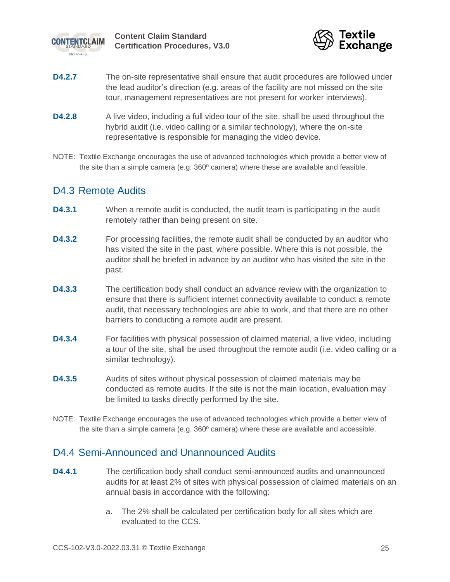



- **D4.2.7** The on-site representative shall ensure that audit procedures are followed under the lead auditor's direction (e.g. areas of the facility are not missed on the site tour, management representatives are not present for worker interviews).
- **D4.2.8** A live video, including a full video tour of the site, shall be used throughout the hybrid audit (i.e. video calling or a similar technology), where the on-site representative is responsible for managing the video device.
- NOTE: Textile Exchange encourages the use of advanced technologies which provide a better view of the site than a simple camera (e.g.  $360^{\circ}$  camera) where these are available and feasible.

### <span id="page-24-0"></span>D<sub>4</sub>.3 Remote Audits

- **D4.3.1** When a remote audit is conducted, the audit team is participating in the audit remotely rather than being present on site.
- **D4.3.2** For processing facilities, the remote audit shall be conducted by an auditor who has visited the site in the past, where possible. Where this is not possible, the auditor shall be briefed in advance by an auditor who has visited the site in the past.
- **D4.3.3** The certification body shall conduct an advance review with the organization to ensure that there is sufficient internet connectivity available to conduct a remote audit, that necessary technologies are able to work, and that there are no other barriers to conducting a remote audit are present.
- **D4.3.4** For facilities with physical possession of claimed material, a live video, including a tour of the site, shall be used throughout the remote audit (i.e. video calling or a similar technology).
- **D4.3.5** Audits of sites without physical possession of claimed materials may be conducted as remote audits. If the site is not the main location, evaluation may be limited to tasks directly performed by the site.
- NOTE: Textile Exchange encourages the use of advanced technologies which provide a better view of the site than a simple camera (e.g. 360º camera) where these are available and accessible.

#### <span id="page-24-1"></span>D4.4 Semi-Announced and Unannounced Audits

- **D4.4.1** The certification body shall conduct semi-announced audits and unannounced audits for at least 2% of sites with physical possession of claimed materials on an annual basis in accordance with the following:
	- a. The 2% shall be calculated per certification body for all sites which are evaluated to the CCS.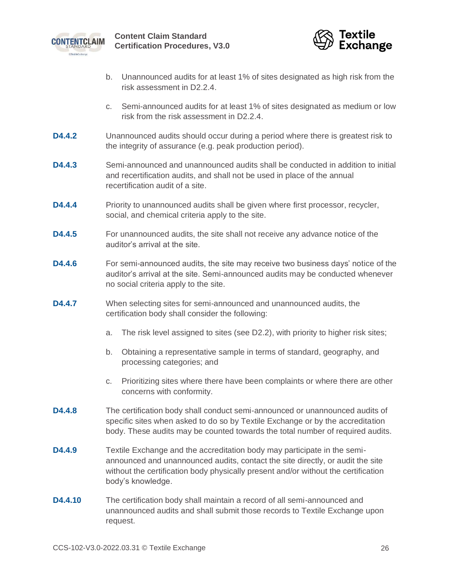



- b. Unannounced audits for at least 1% of sites designated as high risk from the risk assessment in [D2.2.4.](#page-12-1)
- c. Semi-announced audits for at least 1% of sites designated as medium or low risk from the risk assessment in [D2.2.4.](#page-12-1)
- **D4.4.2** Unannounced audits should occur during a period where there is greatest risk to the integrity of assurance (e.g. peak production period).
- **D4.4.3** Semi-announced and unannounced audits shall be conducted in addition to initial and recertification audits, and shall not be used in place of the annual recertification audit of a site.
- **D4.4.4** Priority to unannounced audits shall be given where first processor, recycler, social, and chemical criteria apply to the site.
- **D4.4.5** For unannounced audits, the site shall not receive any advance notice of the auditor's arrival at the site.
- **D4.4.6** For semi-announced audits, the site may receive two business days' notice of the auditor's arrival at the site. Semi-announced audits may be conducted whenever no social criteria apply to the site.
- **D4.4.7** When selecting sites for semi-announced and unannounced audits, the certification body shall consider the following:
	- a. The risk level assigned to sites (see [D2.2\)](#page-10-0), with priority to higher risk sites;
	- b. Obtaining a representative sample in terms of standard, geography, and processing categories; and
	- c. Prioritizing sites where there have been complaints or where there are other concerns with conformity.
- **D4.4.8** The certification body shall conduct semi-announced or unannounced audits of specific sites when asked to do so by Textile Exchange or by the accreditation body. These audits may be counted towards the total number of required audits.
- **D4.4.9** Textile Exchange and the accreditation body may participate in the semiannounced and unannounced audits, contact the site directly, or audit the site without the certification body physically present and/or without the certification body's knowledge.
- **D4.4.10** The certification body shall maintain a record of all semi-announced and unannounced audits and shall submit those records to Textile Exchange upon request.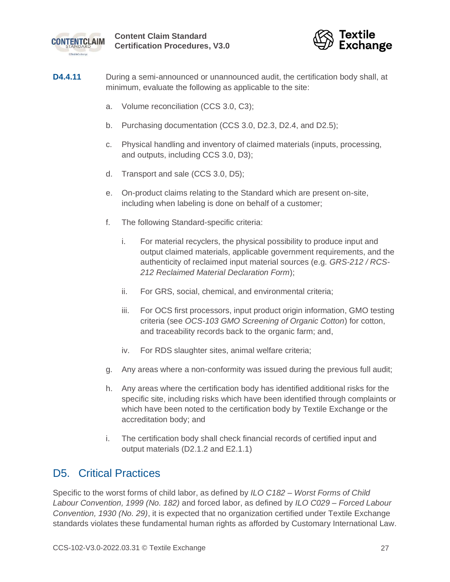



- **D4.4.11** During a semi-announced or unannounced audit, the certification body shall, at minimum, evaluate the following as applicable to the site:
	- a. Volume reconciliation (CCS 3.0, C3);
	- b. Purchasing documentation (CCS 3.0, D2.3, D2.4, and D2.5);
	- c. Physical handling and inventory of claimed materials (inputs, processing, and outputs, including CCS 3.0, D3);
	- d. Transport and sale (CCS 3.0, D5);
	- e. On-product claims relating to the Standard which are present on-site, including when labeling is done on behalf of a customer;
	- f. The following Standard-specific criteria:
		- i. For material recyclers, the physical possibility to produce input and output claimed materials, applicable government requirements, and the authenticity of reclaimed input material sources (e.g. *GRS-212 / RCS-212 Reclaimed Material Declaration Form*);
		- ii. For GRS, social, chemical, and environmental criteria;
		- iii. For OCS first processors, input product origin information, GMO testing criteria (see *OCS-103 GMO Screening of Organic Cotton*) for cotton, and traceability records back to the organic farm; and,
		- iv. For RDS slaughter sites, animal welfare criteria;
	- g. Any areas where a non-conformity was issued during the previous full audit;
	- h. Any areas where the certification body has identified additional risks for the specific site, including risks which have been identified through complaints or which have been noted to the certification body by Textile Exchange or the accreditation body; and
	- i. The certification body shall check financial records of certified input and output materials [\(D2.1.2](#page-10-1) and [E2.1.1\)](#page-28-5)

### <span id="page-26-0"></span>D5. Critical Practices

Specific to the worst forms of child labor, as defined by *ILO C182 – Worst Forms of Child Labour Convention, 1999 (No. 182)* and forced labor, as defined by *ILO C029 – Forced Labour Convention, 1930 (No. 29)*, it is expected that no organization certified under Textile Exchange standards violates these fundamental human rights as afforded by Customary International Law.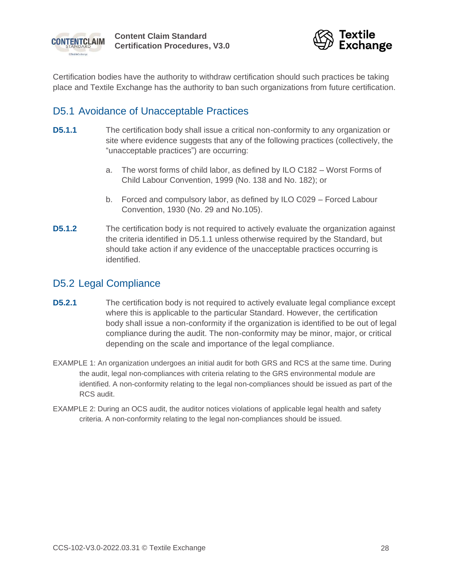



Certification bodies have the authority to withdraw certification should such practices be taking place and Textile Exchange has the authority to ban such organizations from future certification.

### <span id="page-27-0"></span>D5.1 Avoidance of Unacceptable Practices

- <span id="page-27-2"></span>**D5.1.1** The certification body shall issue a critical non-conformity to any organization or site where evidence suggests that any of the following practices (collectively, the "unacceptable practices") are occurring:
	- a. The worst forms of child labor, as defined by ILO C182 Worst Forms of Child Labour Convention, 1999 (No. 138 and No. 182); or
	- b. Forced and compulsory labor, as defined by ILO C029 Forced Labour Convention, 1930 (No. 29 and No.105).
- **D5.1.2** The certification body is not required to actively evaluate the organization against the criteria identified in [D5.1.1](#page-27-2) unless otherwise required by the Standard, but should take action if any evidence of the unacceptable practices occurring is identified.

### <span id="page-27-1"></span>D5.2 Legal Compliance

- **D5.2.1** The certification body is not required to actively evaluate legal compliance except where this is applicable to the particular Standard. However, the certification body shall issue a non-conformity if the organization is identified to be out of legal compliance during the audit. The non-conformity may be minor, major, or critical depending on the scale and importance of the legal compliance.
- EXAMPLE 1: An organization undergoes an initial audit for both GRS and RCS at the same time. During the audit, legal non-compliances with criteria relating to the GRS environmental module are identified. A non-conformity relating to the legal non-compliances should be issued as part of the RCS audit.
- EXAMPLE 2: During an OCS audit, the auditor notices violations of applicable legal health and safety criteria. A non-conformity relating to the legal non-compliances should be issued.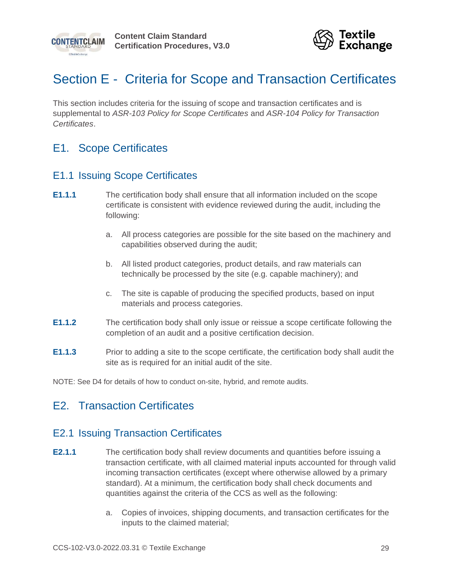



## <span id="page-28-0"></span>Section E - Criteria for Scope and Transaction Certificates

This section includes criteria for the issuing of scope and transaction certificates and is supplemental to *ASR-103 Policy for Scope Certificates* and *ASR-104 Policy for Transaction Certificates*.

### <span id="page-28-1"></span>E1. Scope Certificates

### <span id="page-28-2"></span>E1.1 Issuing Scope Certificates

- **E1.1.1** The certification body shall ensure that all information included on the scope certificate is consistent with evidence reviewed during the audit, including the following:
	- a. All process categories are possible for the site based on the machinery and capabilities observed during the audit;
	- b. All listed product categories, product details, and raw materials can technically be processed by the site (e.g. capable machinery); and
	- c. The site is capable of producing the specified products, based on input materials and process categories.
- **E1.1.2** The certification body shall only issue or reissue a scope certificate following the completion of an audit and a positive certification decision.
- **E1.1.3** Prior to adding a site to the scope certificate, the certification body shall audit the site as is required for an initial audit of the site.

NOTE: See [D4](#page-23-0) for details of how to conduct on-site, hybrid, and remote audits.

### <span id="page-28-3"></span>E2. Transaction Certificates

### <span id="page-28-4"></span>E2.1 Issuing Transaction Certificates

- <span id="page-28-5"></span>**E2.1.1** The certification body shall review documents and quantities before issuing a transaction certificate, with all claimed material inputs accounted for through valid incoming transaction certificates (except where otherwise allowed by a primary standard). At a minimum, the certification body shall check documents and quantities against the criteria of the CCS as well as the following:
	- a. Copies of invoices, shipping documents, and transaction certificates for the inputs to the claimed material;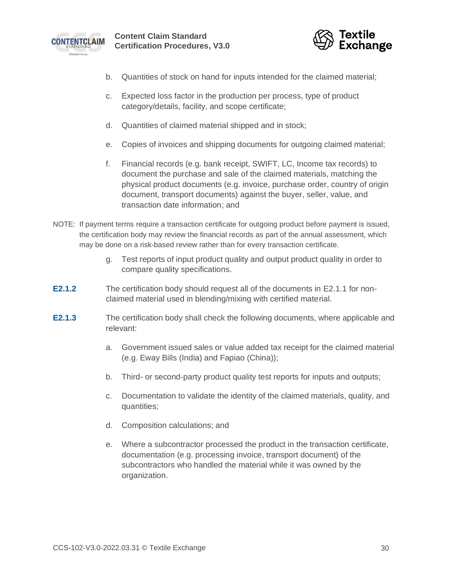



- b. Quantities of stock on hand for inputs intended for the claimed material;
- c. Expected loss factor in the production per process, type of product category/details, facility, and scope certificate;
- d. Quantities of claimed material shipped and in stock;
- e. Copies of invoices and shipping documents for outgoing claimed material;
- f. Financial records (e.g. bank receipt, SWIFT, LC, Income tax records) to document the purchase and sale of the claimed materials, matching the physical product documents (e.g. invoice, purchase order, country of origin document, transport documents) against the buyer, seller, value, and transaction date information; and
- NOTE: If payment terms require a transaction certificate for outgoing product before payment is issued, the certification body may review the financial records as part of the annual assessment, which may be done on a risk-based review rather than for every transaction certificate.
	- g. Test reports of input product quality and output product quality in order to compare quality specifications.
- **E2.1.2** The certification body should request all of the documents in [E2.1.1](#page-28-5) for nonclaimed material used in blending/mixing with certified material.
- **E2.1.3** The certification body shall check the following documents, where applicable and relevant:
	- a. Government issued sales or value added tax receipt for the claimed material (e.g. Eway Bills (India) and Fapiao (China));
	- b. Third- or second-party product quality test reports for inputs and outputs;
	- c. Documentation to validate the identity of the claimed materials, quality, and quantities;
	- d. Composition calculations; and
	- e. Where a subcontractor processed the product in the transaction certificate, documentation (e.g. processing invoice, transport document) of the subcontractors who handled the material while it was owned by the organization.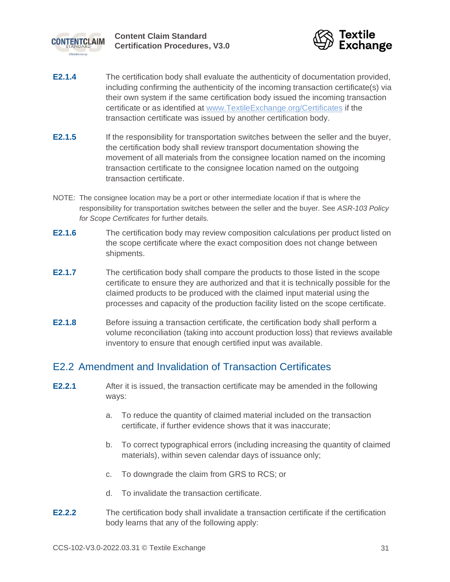



- **E2.1.4** The certification body shall evaluate the authenticity of documentation provided, including confirming the authenticity of the incoming transaction certificate(s) via their own system if the same certification body issued the incoming transaction certificate or as identified at [www.TextileExchange.org/Certificates](http://www.textileexchange.org/Certificates) if the transaction certificate was issued by another certification body.
- **E2.1.5** If the responsibility for transportation switches between the seller and the buyer, the certification body shall review transport documentation showing the movement of all materials from the consignee location named on the incoming transaction certificate to the consignee location named on the outgoing transaction certificate.
- NOTE: The consignee location may be a port or other intermediate location if that is where the responsibility for transportation switches between the seller and the buyer. See *ASR-103 Policy for Scope Certificates* for further details.
- **E2.1.6** The certification body may review composition calculations per product listed on the scope certificate where the exact composition does not change between shipments.
- **E2.1.7** The certification body shall compare the products to those listed in the scope certificate to ensure they are authorized and that it is technically possible for the claimed products to be produced with the claimed input material using the processes and capacity of the production facility listed on the scope certificate.
- **E2.1.8** Before issuing a transaction certificate, the certification body shall perform a volume reconciliation (taking into account production loss) that reviews available inventory to ensure that enough certified input was available.

### <span id="page-30-0"></span>E2.2 Amendment and Invalidation of Transaction Certificates

- **E2.2.1** After it is issued, the transaction certificate may be amended in the following ways:
	- a. To reduce the quantity of claimed material included on the transaction certificate, if further evidence shows that it was inaccurate;
	- b. To correct typographical errors (including increasing the quantity of claimed materials), within seven calendar days of issuance only;
	- c. To downgrade the claim from GRS to RCS; or
	- d. To invalidate the transaction certificate.
- **E2.2.2** The certification body shall invalidate a transaction certificate if the certification body learns that any of the following apply: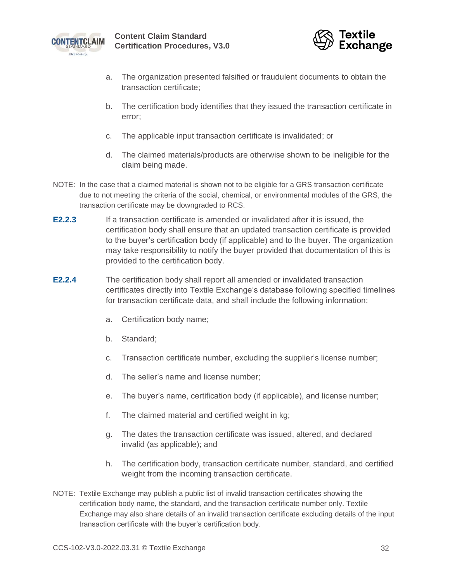



- a. The organization presented falsified or fraudulent documents to obtain the transaction certificate;
- b. The certification body identifies that they issued the transaction certificate in error;
- c. The applicable input transaction certificate is invalidated; or
- d. The claimed materials/products are otherwise shown to be ineligible for the claim being made.
- NOTE: In the case that a claimed material is shown not to be eligible for a GRS transaction certificate due to not meeting the criteria of the social, chemical, or environmental modules of the GRS, the transaction certificate may be downgraded to RCS.
- **E2.2.3** If a transaction certificate is amended or invalidated after it is issued, the certification body shall ensure that an updated transaction certificate is provided to the buyer's certification body (if applicable) and to the buyer. The organization may take responsibility to notify the buyer provided that documentation of this is provided to the certification body.
- **E2.2.4** The certification body shall report all amended or invalidated transaction certificates directly into Textile Exchange's database following specified timelines for transaction certificate data, and shall include the following information:
	- a. Certification body name;
	- b. Standard;
	- c. Transaction certificate number, excluding the supplier's license number;
	- d. The seller's name and license number;
	- e. The buyer's name, certification body (if applicable), and license number;
	- f. The claimed material and certified weight in kg;
	- g. The dates the transaction certificate was issued, altered, and declared invalid (as applicable); and
	- h. The certification body, transaction certificate number, standard, and certified weight from the incoming transaction certificate.
- NOTE: Textile Exchange may publish a public list of invalid transaction certificates showing the certification body name, the standard, and the transaction certificate number only. Textile Exchange may also share details of an invalid transaction certificate excluding details of the input transaction certificate with the buyer's certification body.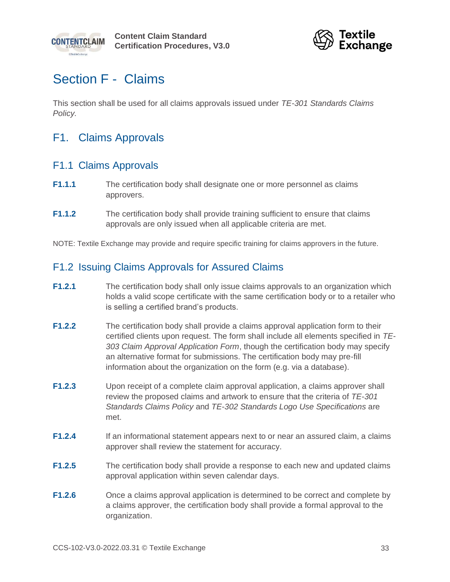



## <span id="page-32-0"></span>Section F - Claims

This section shall be used for all claims approvals issued under *TE-301 Standards Claims Policy.*

<span id="page-32-1"></span>F1. Claims Approvals

### <span id="page-32-2"></span>F1.1 Claims Approvals

- **F1.1.1** The certification body shall designate one or more personnel as claims approvers.
- **F1.1.2** The certification body shall provide training sufficient to ensure that claims approvals are only issued when all applicable criteria are met.
- NOTE: Textile Exchange may provide and require specific training for claims approvers in the future.

### <span id="page-32-3"></span>F1.2 Issuing Claims Approvals for Assured Claims

- **F1.2.1** The certification body shall only issue claims approvals to an organization which holds a valid scope certificate with the same certification body or to a retailer who is selling a certified brand's products.
- **F1.2.2** The certification body shall provide a claims approval application form to their certified clients upon request. The form shall include all elements specified in *TE-303 Claim Approval Application Form*, though the certification body may specify an alternative format for submissions. The certification body may pre-fill information about the organization on the form (e.g. via a database).
- **F1.2.3** Upon receipt of a complete claim approval application, a claims approver shall review the proposed claims and artwork to ensure that the criteria of *TE-301 Standards Claims Policy* and *TE-302 Standards Logo Use Specifications* are met.
- **F1.2.4** If an informational statement appears next to or near an assured claim, a claims approver shall review the statement for accuracy.
- **F1.2.5** The certification body shall provide a response to each new and updated claims approval application within seven calendar days.
- **F1.2.6** Once a claims approval application is determined to be correct and complete by a claims approver, the certification body shall provide a formal approval to the organization.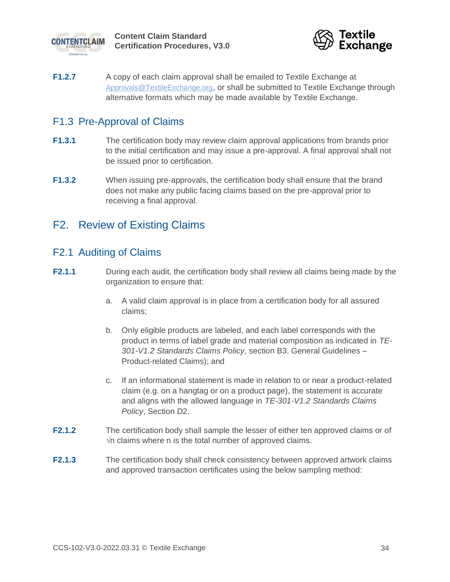



**F1.2.7** A copy of each claim approval shall be emailed to Textile Exchange at [Approvals@TextileExchange.org](mailto:Approvals@TextileExchange.org), or shall be submitted to Textile Exchange through alternative formats which may be made available by Textile Exchange.

### <span id="page-33-0"></span>F1.3 Pre-Approval of Claims

- **F1.3.1** The certification body may review claim approval applications from brands prior to the initial certification and may issue a pre-approval. A final approval shall not be issued prior to certification.
- **F1.3.2** When issuing pre-approvals, the certification body shall ensure that the brand does not make any public facing claims based on the pre-approval prior to receiving a final approval.

### <span id="page-33-1"></span>F2. Review of Existing Claims

### <span id="page-33-2"></span>F2.1 Auditing of Claims

- **F2.1.1** During each audit, the certification body shall review all claims being made by the organization to ensure that:
	- a. A valid claim approval is in place from a certification body for all assured claims;
	- b. Only eligible products are labeled, and each label corresponds with the product in terms of label grade and material composition as indicated in *TE-301-V1.2 Standards Claims Policy*, section B3. General Guidelines – Product-related Claims); and
	- c. If an informational statement is made in relation to or near a product-related claim (e.g. on a hangtag or on a product page), the statement is accurate and aligns with the allowed language in *TE-301-V1.2 Standards Claims Policy*, Section D2.
- **F2.1.2** The certification body shall sample the lesser of either ten approved claims or of  $\sqrt{n}$  claims where n is the total number of approved claims.
- **F2.1.3** The certification body shall check consistency between approved artwork claims and approved transaction certificates using the below sampling method: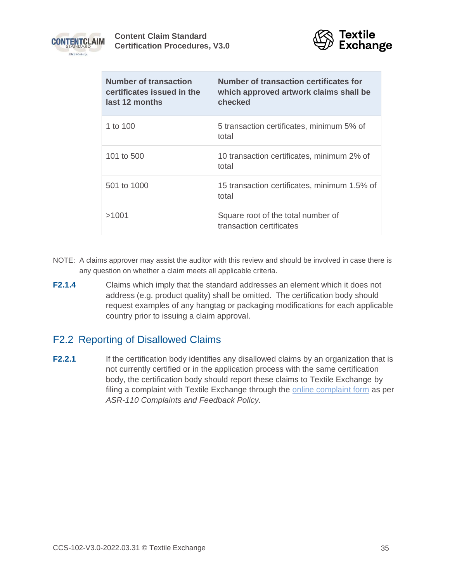



| Number of transaction<br>certificates issued in the<br>last 12 months | Number of transaction certificates for<br>which approved artwork claims shall be<br>checked |
|-----------------------------------------------------------------------|---------------------------------------------------------------------------------------------|
| 1 to $100$                                                            | 5 transaction certificates, minimum 5% of<br>total                                          |
| 101 to 500                                                            | 10 transaction certificates, minimum 2% of<br>total                                         |
| 501 to 1000                                                           | 15 transaction certificates, minimum 1.5% of<br>total                                       |
| >1001                                                                 | Square root of the total number of<br>transaction certificates                              |

- NOTE: A claims approver may assist the auditor with this review and should be involved in case there is any question on whether a claim meets all applicable criteria.
- **F2.1.4** Claims which imply that the standard addresses an element which it does not address (e.g. product quality) shall be omitted. The certification body should request examples of any hangtag or packaging modifications for each applicable country prior to issuing a claim approval.

### <span id="page-34-0"></span>F2.2 Reporting of Disallowed Claims

**F2.2.1** If the certification body identifies any disallowed claims by an organization that is not currently certified or in the application process with the same certification body, the certification body should report these claims to Textile Exchange by filing a complaint with Textile Exchange through the [online complaint form](https://www.tfaforms.com/forms/view/4798177) as per *ASR-110 Complaints and Feedback Policy.*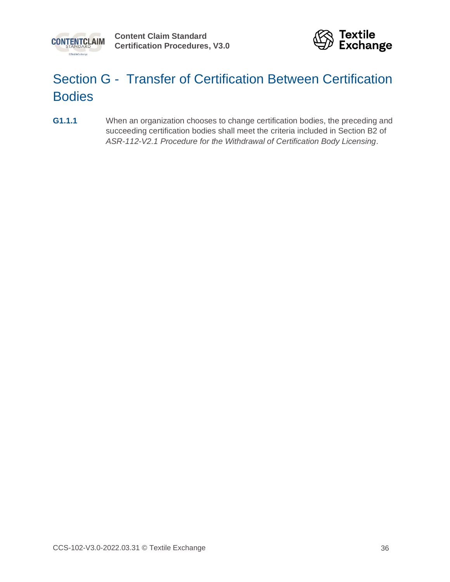



# <span id="page-35-0"></span>Section G - Transfer of Certification Between Certification Bodies

**G1.1.1** When an organization chooses to change certification bodies, the preceding and succeeding certification bodies shall meet the criteria included in Section B2 of *ASR-112-V2.1 Procedure for the Withdrawal of Certification Body Licensing*.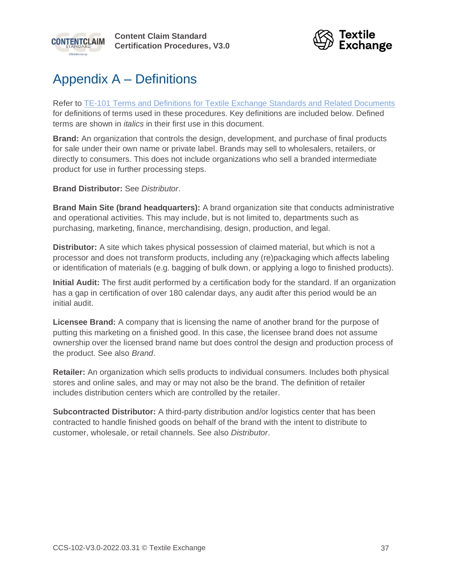



## <span id="page-36-0"></span>Appendix A – Definitions

Refer to [TE-101 Terms and Definitions for Textile Exchange Standards and Related Documents](https://textileexchange.org/documents/terms-and-definitions-for-textile-exchange-standards-and-related-documents/) for definitions of terms used in these procedures. Key definitions are included below. Defined terms are shown in *italics* in their first use in this document.

**Brand:** An organization that controls the design, development, and purchase of final products for sale under their own name or private label. Brands may sell to wholesalers, retailers, or directly to consumers. This does not include organizations who sell a branded intermediate product for use in further processing steps.

**Brand Distributor:** See *Distributor*.

**Brand Main Site (brand headquarters):** A brand organization site that conducts administrative and operational activities. This may include, but is not limited to, departments such as purchasing, marketing, finance, merchandising, design, production, and legal.

**Distributor:** A site which takes physical possession of claimed material, but which is not a processor and does not transform products, including any (re)packaging which affects labeling or identification of materials (e.g. bagging of bulk down, or applying a logo to finished products).

**Initial Audit:** The first audit performed by a certification body for the standard. If an organization has a gap in certification of over 180 calendar days, any audit after this period would be an initial audit.

**Licensee Brand:** A company that is licensing the name of another brand for the purpose of putting this marketing on a finished good. In this case, the licensee brand does not assume ownership over the licensed brand name but does control the design and production process of the product. See also *Brand*.

**Retailer:** An organization which sells products to individual consumers. Includes both physical stores and online sales, and may or may not also be the brand. The definition of retailer includes distribution centers which are controlled by the retailer.

**Subcontracted Distributor:** A third-party distribution and/or logistics center that has been contracted to handle finished goods on behalf of the brand with the intent to distribute to customer, wholesale, or retail channels. See also *Distributor*.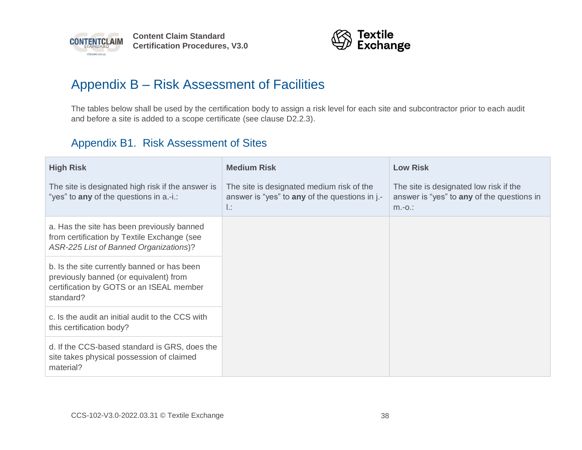



## Appendix B – Risk Assessment of Facilities

The tables below shall be used by the certification body to assign a risk level for each site and subcontractor prior to each audit and before a site is added to a scope certificate (see clause [D2.2.3\)](#page-11-2).

## Appendix B1. Risk Assessment of Sites

<span id="page-37-1"></span><span id="page-37-0"></span>

| <b>High Risk</b>                                                                                                                               | <b>Medium Risk</b>                                                                                | <b>Low Risk</b>                                                                                 |
|------------------------------------------------------------------------------------------------------------------------------------------------|---------------------------------------------------------------------------------------------------|-------------------------------------------------------------------------------------------------|
| The site is designated high risk if the answer is<br>"yes" to any of the questions in a.-i.:                                                   | The site is designated medium risk of the<br>answer is "yes" to any of the questions in j.-<br>Ŀ. | The site is designated low risk if the<br>answer is "yes" to any of the questions in<br>$m.-o.$ |
| a. Has the site has been previously banned<br>from certification by Textile Exchange (see<br>ASR-225 List of Banned Organizations)?            |                                                                                                   |                                                                                                 |
| b. Is the site currently banned or has been<br>previously banned (or equivalent) from<br>certification by GOTS or an ISEAL member<br>standard? |                                                                                                   |                                                                                                 |
| c. Is the audit an initial audit to the CCS with<br>this certification body?                                                                   |                                                                                                   |                                                                                                 |
| d. If the CCS-based standard is GRS, does the<br>site takes physical possession of claimed<br>material?                                        |                                                                                                   |                                                                                                 |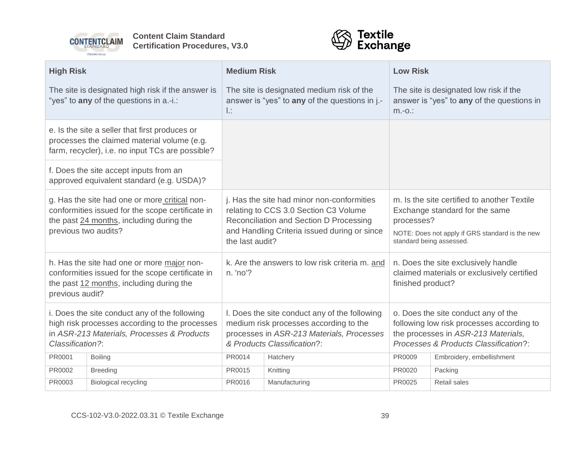



| <b>High Risk</b><br>The site is designated high risk if the answer is<br>"yes" to any of the questions in a.-i.:                                                                                                   |                                                                  | <b>Medium Risk</b><br>The site is designated medium risk of the<br>answer is "yes" to any of the questions in j.-<br>$\mathbb{R}$                                                                 |  | <b>Low Risk</b><br>The site is designated low risk if the<br>answer is "yes" to any of the questions in<br>$m.-o.$ :                                                       |                                                                                   |
|--------------------------------------------------------------------------------------------------------------------------------------------------------------------------------------------------------------------|------------------------------------------------------------------|---------------------------------------------------------------------------------------------------------------------------------------------------------------------------------------------------|--|----------------------------------------------------------------------------------------------------------------------------------------------------------------------------|-----------------------------------------------------------------------------------|
| e. Is the site a seller that first produces or<br>processes the claimed material volume (e.g.<br>farm, recycler), i.e. no input TCs are possible?<br>f. Does the site accept inputs from an                        |                                                                  |                                                                                                                                                                                                   |  |                                                                                                                                                                            |                                                                                   |
| approved equivalent standard (e.g. USDA)?<br>g. Has the site had one or more critical non-<br>conformities issued for the scope certificate in<br>the past 24 months, including during the<br>previous two audits? |                                                                  | j. Has the site had minor non-conformities<br>relating to CCS 3.0 Section C3 Volume<br>Reconciliation and Section D Processing<br>and Handling Criteria issued during or since<br>the last audit? |  | m. Is the site certified to another Textile<br>Exchange standard for the same<br>processes?<br>NOTE: Does not apply if GRS standard is the new<br>standard being assessed. |                                                                                   |
| h. Has the site had one or more major non-<br>conformities issued for the scope certificate in<br>the past 12 months, including during the<br>previous audit?                                                      |                                                                  | k. Are the answers to low risk criteria m. and<br>n. 'no'?                                                                                                                                        |  | finished product?                                                                                                                                                          | n. Does the site exclusively handle<br>claimed materials or exclusively certified |
| i. Does the site conduct any of the following<br>high risk processes according to the processes<br>in ASR-213 Materials, Processes & Products<br>Classification?:                                                  |                                                                  | I. Does the site conduct any of the following<br>medium risk processes according to the<br>processes in ASR-213 Materials, Processes<br>& Products Classification?:                               |  | o. Does the site conduct any of the<br>following low risk processes according to<br>the processes in ASR-213 Materials,<br>Processes & Products Classification?:           |                                                                                   |
| PR0001<br>PR0002<br>PR0003                                                                                                                                                                                         | <b>Boiling</b><br><b>Breeding</b><br><b>Biological recycling</b> | PR0014<br>Hatchery<br>PR0009<br>PR0015<br>Knitting<br>Packing<br>PR0020<br>PR0016<br>Manufacturing<br>Retail sales<br>PR0025                                                                      |  | Embroidery, embellishment                                                                                                                                                  |                                                                                   |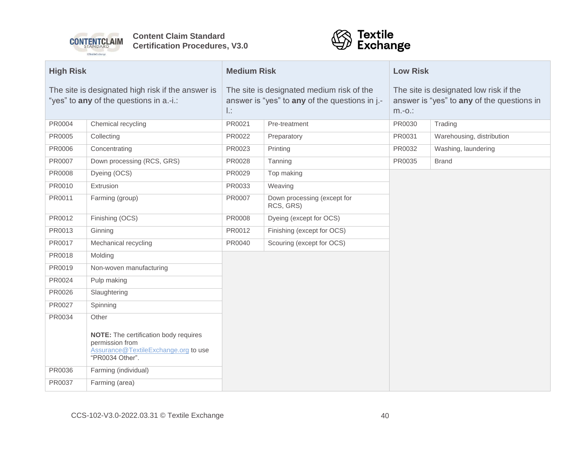



| <b>High Risk</b>                                                                             |                                                                                                                                             | <b>Medium Risk</b>                                                                                |                                          | <b>Low Risk</b>                                                                                   |                           |
|----------------------------------------------------------------------------------------------|---------------------------------------------------------------------------------------------------------------------------------------------|---------------------------------------------------------------------------------------------------|------------------------------------------|---------------------------------------------------------------------------------------------------|---------------------------|
| The site is designated high risk if the answer is<br>"yes" to any of the questions in a.-i.: |                                                                                                                                             | The site is designated medium risk of the<br>answer is "yes" to any of the questions in j.-<br>Ŀ. |                                          | The site is designated low risk if the<br>answer is "yes" to any of the questions in<br>$m.-o.$ : |                           |
| PR0004                                                                                       | Chemical recycling                                                                                                                          | PR0021                                                                                            | Pre-treatment                            | PR0030                                                                                            | Trading                   |
| PR0005                                                                                       | Collecting                                                                                                                                  | PR0022                                                                                            | Preparatory                              | PR0031                                                                                            | Warehousing, distribution |
| <b>PR0006</b>                                                                                | Concentrating                                                                                                                               | PR0023                                                                                            | Printing                                 | PR0032                                                                                            | Washing, laundering       |
| PR0007                                                                                       | Down processing (RCS, GRS)                                                                                                                  | PR0028                                                                                            | Tanning                                  | PR0035                                                                                            | <b>Brand</b>              |
| PR0008                                                                                       | Dyeing (OCS)                                                                                                                                | PR0029                                                                                            | Top making                               |                                                                                                   |                           |
| PR0010                                                                                       | Extrusion                                                                                                                                   | PR0033                                                                                            | Weaving                                  |                                                                                                   |                           |
| PR0011                                                                                       | Farming (group)                                                                                                                             | PR0007                                                                                            | Down processing (except for<br>RCS, GRS) |                                                                                                   |                           |
| PR0012                                                                                       | Finishing (OCS)                                                                                                                             | PR0008                                                                                            | Dyeing (except for OCS)                  |                                                                                                   |                           |
| PR0013                                                                                       | Ginning                                                                                                                                     | PR0012                                                                                            | Finishing (except for OCS)               |                                                                                                   |                           |
| PR0017                                                                                       | Mechanical recycling                                                                                                                        | PR0040                                                                                            | Scouring (except for OCS)                |                                                                                                   |                           |
| PR0018                                                                                       | Molding                                                                                                                                     |                                                                                                   |                                          |                                                                                                   |                           |
| PR0019                                                                                       | Non-woven manufacturing                                                                                                                     |                                                                                                   |                                          |                                                                                                   |                           |
| PR0024                                                                                       | Pulp making                                                                                                                                 |                                                                                                   |                                          |                                                                                                   |                           |
| PR0026                                                                                       | Slaughtering                                                                                                                                |                                                                                                   |                                          |                                                                                                   |                           |
| PR0027                                                                                       | Spinning                                                                                                                                    |                                                                                                   |                                          |                                                                                                   |                           |
| PR0034                                                                                       | Other                                                                                                                                       |                                                                                                   |                                          |                                                                                                   |                           |
| PR0036                                                                                       | NOTE: The certification body requires<br>permission from<br>Assurance@TextileExchange.org to use<br>"PR0034 Other".<br>Farming (individual) |                                                                                                   |                                          |                                                                                                   |                           |
| PR0037                                                                                       | Farming (area)                                                                                                                              |                                                                                                   |                                          |                                                                                                   |                           |
|                                                                                              |                                                                                                                                             |                                                                                                   |                                          |                                                                                                   |                           |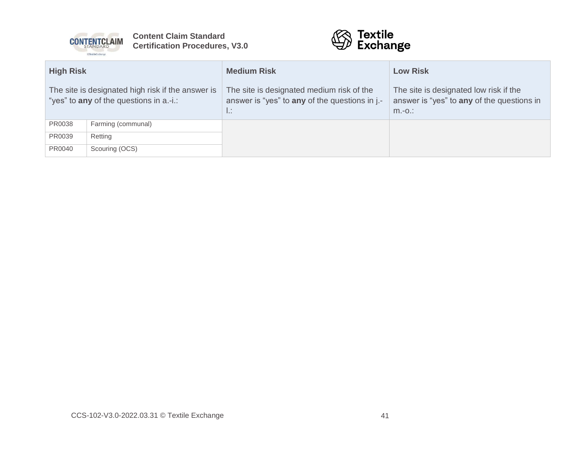



| <b>High Risk</b>                                                                             |                    | <b>Medium Risk</b>                                                                               | <b>Low Risk</b>                                                                                   |
|----------------------------------------------------------------------------------------------|--------------------|--------------------------------------------------------------------------------------------------|---------------------------------------------------------------------------------------------------|
| The site is designated high risk if the answer is<br>"yes" to any of the questions in a.-i.: |                    | The site is designated medium risk of the<br>answer is "yes" to any of the questions in j.-<br>Ш | The site is designated low risk if the<br>answer is "yes" to any of the questions in<br>$m.-o.$ : |
| PR0038                                                                                       | Farming (communal) |                                                                                                  |                                                                                                   |
| PR0039<br>Retting<br>PR0040<br>Scouring (OCS)                                                |                    |                                                                                                  |                                                                                                   |
|                                                                                              |                    |                                                                                                  |                                                                                                   |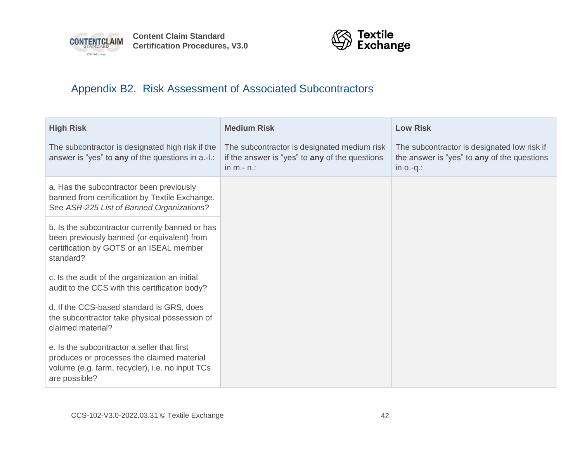



## Appendix B2. Risk Assessment of Associated Subcontractors

<span id="page-41-0"></span>

| <b>High Risk</b>                                                                                                                                              | <b>Medium Risk</b>                                                                                            | <b>Low Risk</b>                                                                                            |
|---------------------------------------------------------------------------------------------------------------------------------------------------------------|---------------------------------------------------------------------------------------------------------------|------------------------------------------------------------------------------------------------------------|
| The subcontractor is designated high risk if the<br>answer is "yes" to any of the questions in a.-l.:                                                         | The subcontractor is designated medium risk<br>if the answer is "yes" to any of the questions<br>in $m - n$ . | The subcontractor is designated low risk if<br>the answer is "yes" to any of the questions<br>in $o.-q$ .: |
| a. Has the subcontractor been previously<br>banned from certification by Textile Exchange.<br>See ASR-225 List of Banned Organizations?                       |                                                                                                               |                                                                                                            |
| b. Is the subcontractor currently banned or has<br>been previously banned (or equivalent) from<br>certification by GOTS or an ISEAL member<br>standard?       |                                                                                                               |                                                                                                            |
| c. Is the audit of the organization an initial<br>audit to the CCS with this certification body?                                                              |                                                                                                               |                                                                                                            |
| d. If the CCS-based standard is GRS, does<br>the subcontractor take physical possession of<br>claimed material?                                               |                                                                                                               |                                                                                                            |
| e. Is the subcontractor a seller that first<br>produces or processes the claimed material<br>volume (e.g. farm, recycler), i.e. no input TCs<br>are possible? |                                                                                                               |                                                                                                            |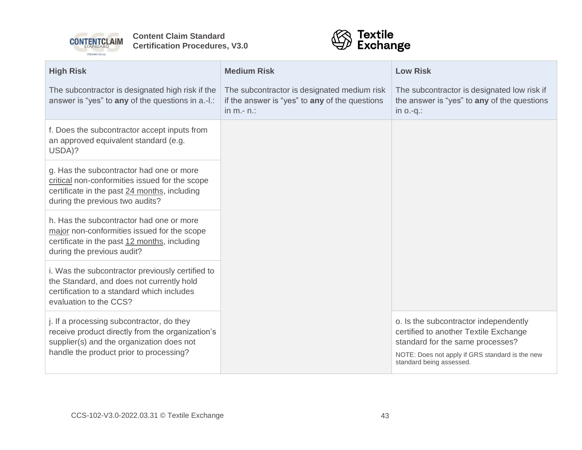



| <b>High Risk</b>                                                                                                                                                                      | <b>Medium Risk</b>                                                                                             | <b>Low Risk</b>                                                                                                                                                                                   |
|---------------------------------------------------------------------------------------------------------------------------------------------------------------------------------------|----------------------------------------------------------------------------------------------------------------|---------------------------------------------------------------------------------------------------------------------------------------------------------------------------------------------------|
| The subcontractor is designated high risk if the<br>answer is "yes" to any of the questions in a.-l.:                                                                                 | The subcontractor is designated medium risk<br>if the answer is "yes" to any of the questions<br>in $m - n$ .: | The subcontractor is designated low risk if<br>the answer is "yes" to any of the questions<br>in $o.-q$ .:                                                                                        |
| f. Does the subcontractor accept inputs from<br>an approved equivalent standard (e.g.<br>USDA)?                                                                                       |                                                                                                                |                                                                                                                                                                                                   |
| g. Has the subcontractor had one or more<br>critical non-conformities issued for the scope<br>certificate in the past 24 months, including<br>during the previous two audits?         |                                                                                                                |                                                                                                                                                                                                   |
| h. Has the subcontractor had one or more<br>major non-conformities issued for the scope<br>certificate in the past 12 months, including<br>during the previous audit?                 |                                                                                                                |                                                                                                                                                                                                   |
| i. Was the subcontractor previously certified to<br>the Standard, and does not currently hold<br>certification to a standard which includes<br>evaluation to the CCS?                 |                                                                                                                |                                                                                                                                                                                                   |
| j. If a processing subcontractor, do they<br>receive product directly from the organization's<br>supplier(s) and the organization does not<br>handle the product prior to processing? |                                                                                                                | o. Is the subcontractor independently<br>certified to another Textile Exchange<br>standard for the same processes?<br>NOTE: Does not apply if GRS standard is the new<br>standard being assessed. |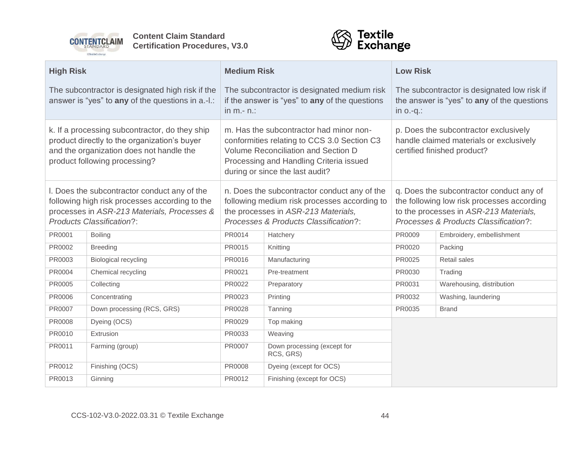



| <b>High Risk</b>                                                                                                                                                                  |                             | <b>Medium Risk</b>                                                                                                                                                                                          |                                          | <b>Low Risk</b>                                                                                                                                                           |                           |
|-----------------------------------------------------------------------------------------------------------------------------------------------------------------------------------|-----------------------------|-------------------------------------------------------------------------------------------------------------------------------------------------------------------------------------------------------------|------------------------------------------|---------------------------------------------------------------------------------------------------------------------------------------------------------------------------|---------------------------|
| The subcontractor is designated high risk if the<br>answer is "yes" to any of the questions in a.-l.:                                                                             |                             | The subcontractor is designated medium risk<br>if the answer is "yes" to any of the questions<br>in $m - n$ .:                                                                                              |                                          | The subcontractor is designated low risk if<br>the answer is "yes" to any of the questions<br>in $o.-q$ .:                                                                |                           |
| k. If a processing subcontractor, do they ship<br>product directly to the organization's buyer<br>and the organization does not handle the<br>product following processing?       |                             | m. Has the subcontractor had minor non-<br>conformities relating to CCS 3.0 Section C3<br>Volume Reconciliation and Section D<br>Processing and Handling Criteria issued<br>during or since the last audit? |                                          | p. Does the subcontractor exclusively<br>handle claimed materials or exclusively<br>certified finished product?                                                           |                           |
| I. Does the subcontractor conduct any of the<br>following high risk processes according to the<br>processes in ASR-213 Materials, Processes &<br><b>Products Classification?:</b> |                             | n. Does the subcontractor conduct any of the<br>following medium risk processes according to<br>the processes in ASR-213 Materials,<br>Processes & Products Classification?:                                |                                          | q. Does the subcontractor conduct any of<br>the following low risk processes according<br>to the processes in ASR-213 Materials,<br>Processes & Products Classification?: |                           |
| PR0001                                                                                                                                                                            | <b>Boiling</b>              | PR0014                                                                                                                                                                                                      | Hatchery                                 | PR0009                                                                                                                                                                    | Embroidery, embellishment |
| PR0002                                                                                                                                                                            | <b>Breeding</b>             | PR0015                                                                                                                                                                                                      | Knitting                                 | PR0020                                                                                                                                                                    | Packing                   |
| PR0003                                                                                                                                                                            | <b>Biological recycling</b> | PR0016                                                                                                                                                                                                      | Manufacturing                            | PR0025                                                                                                                                                                    | <b>Retail sales</b>       |
| PR0004                                                                                                                                                                            | Chemical recycling          | PR0021                                                                                                                                                                                                      | Pre-treatment                            | PR0030                                                                                                                                                                    | Trading                   |
| PR0005                                                                                                                                                                            | Collecting                  | PR0022                                                                                                                                                                                                      | Preparatory                              | PR0031                                                                                                                                                                    | Warehousing, distribution |
| PR0006                                                                                                                                                                            | Concentrating               | PR0023                                                                                                                                                                                                      | Printing                                 | PR0032                                                                                                                                                                    | Washing, laundering       |
| PR0007                                                                                                                                                                            | Down processing (RCS, GRS)  | PR0028                                                                                                                                                                                                      | Tanning                                  | PR0035                                                                                                                                                                    | <b>Brand</b>              |
| PR0008                                                                                                                                                                            | Dyeing (OCS)                | PR0029                                                                                                                                                                                                      | Top making                               |                                                                                                                                                                           |                           |
| PR0010                                                                                                                                                                            | Extrusion                   | PR0033                                                                                                                                                                                                      | Weaving                                  |                                                                                                                                                                           |                           |
| PR0011                                                                                                                                                                            | Farming (group)             | PR0007                                                                                                                                                                                                      | Down processing (except for<br>RCS, GRS) |                                                                                                                                                                           |                           |
| PR0012                                                                                                                                                                            | Finishing (OCS)             | <b>PR0008</b>                                                                                                                                                                                               | Dyeing (except for OCS)                  |                                                                                                                                                                           |                           |
| PR0013                                                                                                                                                                            | Ginning                     | PR0012                                                                                                                                                                                                      | Finishing (except for OCS)               |                                                                                                                                                                           |                           |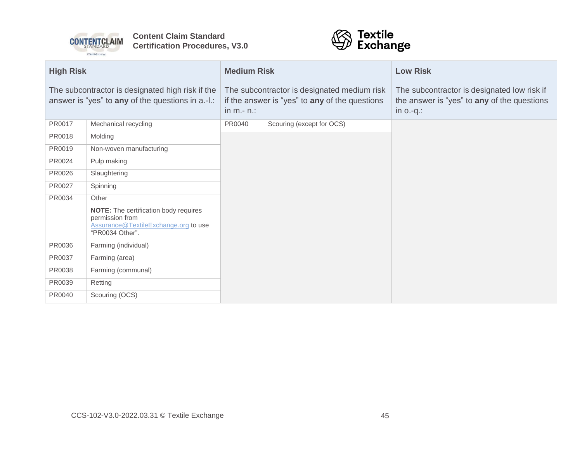



| <b>High Risk</b>                                                                                      |                                                                                                                            | <b>Medium Risk</b>                                                                                             |                           | <b>Low Risk</b>                                                                                            |
|-------------------------------------------------------------------------------------------------------|----------------------------------------------------------------------------------------------------------------------------|----------------------------------------------------------------------------------------------------------------|---------------------------|------------------------------------------------------------------------------------------------------------|
| The subcontractor is designated high risk if the<br>answer is "yes" to any of the questions in a.-I.: |                                                                                                                            | The subcontractor is designated medium risk<br>if the answer is "yes" to any of the questions<br>in $m - n$ .: |                           | The subcontractor is designated low risk if<br>the answer is "yes" to any of the questions<br>in $o.-q$ .: |
| PR0017                                                                                                | Mechanical recycling                                                                                                       | PR0040                                                                                                         | Scouring (except for OCS) |                                                                                                            |
| PR0018                                                                                                | Molding                                                                                                                    |                                                                                                                |                           |                                                                                                            |
| PR0019                                                                                                | Non-woven manufacturing                                                                                                    |                                                                                                                |                           |                                                                                                            |
| PR0024                                                                                                | Pulp making                                                                                                                |                                                                                                                |                           |                                                                                                            |
| PR0026                                                                                                | Slaughtering                                                                                                               |                                                                                                                |                           |                                                                                                            |
| PR0027                                                                                                | Spinning                                                                                                                   |                                                                                                                |                           |                                                                                                            |
| PR0034                                                                                                | Other                                                                                                                      |                                                                                                                |                           |                                                                                                            |
|                                                                                                       | <b>NOTE:</b> The certification body requires<br>permission from<br>Assurance@TextileExchange.org to use<br>"PR0034 Other". |                                                                                                                |                           |                                                                                                            |
| PR0036                                                                                                | Farming (individual)                                                                                                       |                                                                                                                |                           |                                                                                                            |
| PR0037                                                                                                | Farming (area)                                                                                                             |                                                                                                                |                           |                                                                                                            |
| PR0038                                                                                                | Farming (communal)                                                                                                         |                                                                                                                |                           |                                                                                                            |
| PR0039                                                                                                | Retting                                                                                                                    |                                                                                                                |                           |                                                                                                            |
| PR0040                                                                                                | Scouring (OCS)                                                                                                             |                                                                                                                |                           |                                                                                                            |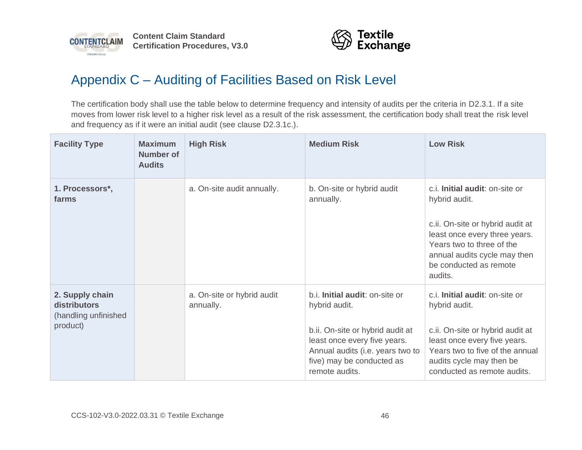



# Appendix C – Auditing of Facilities Based on Risk Level

The certification body shall use the table below to determine frequency and intensity of audits per the criteria in [D2.3.1.](#page-12-3) If a site moves from lower risk level to a higher risk level as a result of the risk assessment, the certification body shall treat the risk level and frequency as if it were an initial audit (see clause [D2.3.1c.](#page-13-2)).

<span id="page-45-0"></span>

| <b>Facility Type</b>                                                | <b>Maximum</b><br>Number of<br><b>Audits</b> | <b>High Risk</b>                        | <b>Medium Risk</b>                                                                                                                                                                                     | <b>Low Risk</b>                                                                                                                                                                                                        |
|---------------------------------------------------------------------|----------------------------------------------|-----------------------------------------|--------------------------------------------------------------------------------------------------------------------------------------------------------------------------------------------------------|------------------------------------------------------------------------------------------------------------------------------------------------------------------------------------------------------------------------|
| 1. Processors*,<br>farms                                            |                                              | a. On-site audit annually.              | b. On-site or hybrid audit<br>annually.                                                                                                                                                                | c.i. Initial audit: on-site or<br>hybrid audit.<br>c.ii. On-site or hybrid audit at<br>least once every three years.<br>Years two to three of the<br>annual audits cycle may then<br>be conducted as remote<br>audits. |
| 2. Supply chain<br>distributors<br>(handling unfinished<br>product) |                                              | a. On-site or hybrid audit<br>annually. | b.i. Initial audit: on-site or<br>hybrid audit.<br>b.ii. On-site or hybrid audit at<br>least once every five years.<br>Annual audits (i.e. years two to<br>five) may be conducted as<br>remote audits. | c.i. Initial audit: on-site or<br>hybrid audit.<br>c.ii. On-site or hybrid audit at<br>least once every five years.<br>Years two to five of the annual<br>audits cycle may then be<br>conducted as remote audits.      |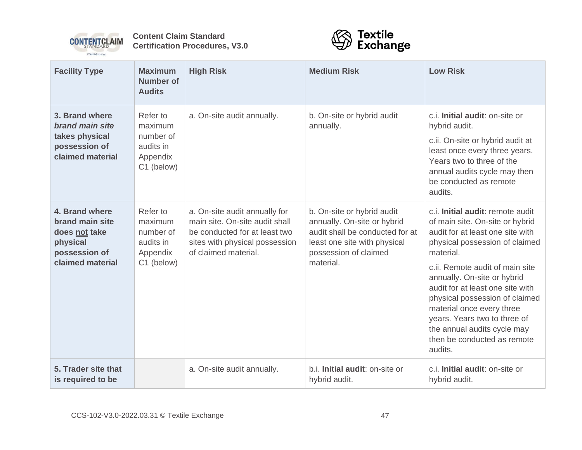



| <b>Facility Type</b>                                                                                | <b>Maximum</b><br><b>Number of</b><br><b>Audits</b>                     | <b>High Risk</b>                                                                                                                                           | <b>Medium Risk</b>                                                                                                                                                 | <b>Low Risk</b>                                                                                                                                                                                                                                                                                                                                                                                                                      |
|-----------------------------------------------------------------------------------------------------|-------------------------------------------------------------------------|------------------------------------------------------------------------------------------------------------------------------------------------------------|--------------------------------------------------------------------------------------------------------------------------------------------------------------------|--------------------------------------------------------------------------------------------------------------------------------------------------------------------------------------------------------------------------------------------------------------------------------------------------------------------------------------------------------------------------------------------------------------------------------------|
| 3. Brand where<br>brand main site<br>takes physical<br>possession of<br>claimed material            | Refer to<br>maximum<br>number of<br>audits in<br>Appendix<br>C1 (below) | a. On-site audit annually.                                                                                                                                 | b. On-site or hybrid audit<br>annually.                                                                                                                            | c.i. Initial audit: on-site or<br>hybrid audit.<br>c.ii. On-site or hybrid audit at<br>least once every three years.<br>Years two to three of the<br>annual audits cycle may then<br>be conducted as remote<br>audits.                                                                                                                                                                                                               |
| 4. Brand where<br>brand main site<br>does not take<br>physical<br>possession of<br>claimed material | Refer to<br>maximum<br>number of<br>audits in<br>Appendix<br>C1 (below) | a. On-site audit annually for<br>main site. On-site audit shall<br>be conducted for at least two<br>sites with physical possession<br>of claimed material. | b. On-site or hybrid audit<br>annually. On-site or hybrid<br>audit shall be conducted for at<br>least one site with physical<br>possession of claimed<br>material. | c.i. Initial audit: remote audit<br>of main site. On-site or hybrid<br>audit for at least one site with<br>physical possession of claimed<br>material.<br>c.ii. Remote audit of main site<br>annually. On-site or hybrid<br>audit for at least one site with<br>physical possession of claimed<br>material once every three<br>years. Years two to three of<br>the annual audits cycle may<br>then be conducted as remote<br>audits. |
| 5. Trader site that<br>is required to be                                                            |                                                                         | a. On-site audit annually.                                                                                                                                 | b.i. Initial audit: on-site or<br>hybrid audit.                                                                                                                    | c.i. Initial audit: on-site or<br>hybrid audit.                                                                                                                                                                                                                                                                                                                                                                                      |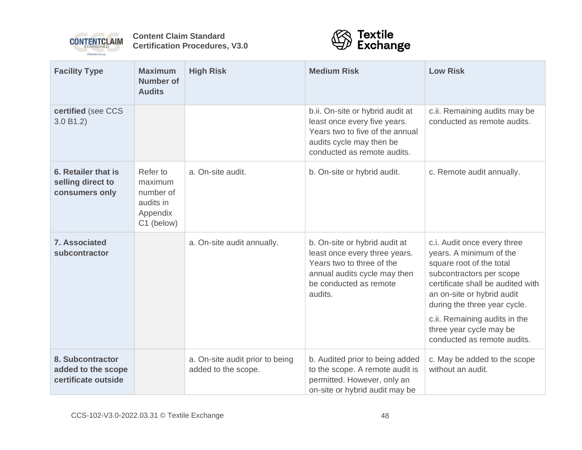



| <b>Facility Type</b>                                          | <b>Maximum</b><br><b>Number of</b><br><b>Audits</b>                     | <b>High Risk</b>                                       | <b>Medium Risk</b>                                                                                                                                               | <b>Low Risk</b>                                                                                                                                                                                                                                                                                              |
|---------------------------------------------------------------|-------------------------------------------------------------------------|--------------------------------------------------------|------------------------------------------------------------------------------------------------------------------------------------------------------------------|--------------------------------------------------------------------------------------------------------------------------------------------------------------------------------------------------------------------------------------------------------------------------------------------------------------|
| certified (see CCS<br>3.0 B1.2                                |                                                                         |                                                        | b.ii. On-site or hybrid audit at<br>least once every five years.<br>Years two to five of the annual<br>audits cycle may then be<br>conducted as remote audits.   | c.ii. Remaining audits may be<br>conducted as remote audits.                                                                                                                                                                                                                                                 |
| 6. Retailer that is<br>selling direct to<br>consumers only    | Refer to<br>maximum<br>number of<br>audits in<br>Appendix<br>C1 (below) | a. On-site audit.                                      | b. On-site or hybrid audit.                                                                                                                                      | c. Remote audit annually.                                                                                                                                                                                                                                                                                    |
| 7. Associated<br>subcontractor                                |                                                                         | a. On-site audit annually.                             | b. On-site or hybrid audit at<br>least once every three years.<br>Years two to three of the<br>annual audits cycle may then<br>be conducted as remote<br>audits. | c.i. Audit once every three<br>years. A minimum of the<br>square root of the total<br>subcontractors per scope<br>certificate shall be audited with<br>an on-site or hybrid audit<br>during the three year cycle.<br>c.ii. Remaining audits in the<br>three year cycle may be<br>conducted as remote audits. |
| 8. Subcontractor<br>added to the scope<br>certificate outside |                                                                         | a. On-site audit prior to being<br>added to the scope. | b. Audited prior to being added<br>to the scope. A remote audit is<br>permitted. However, only an<br>on-site or hybrid audit may be                              | c. May be added to the scope<br>without an audit.                                                                                                                                                                                                                                                            |